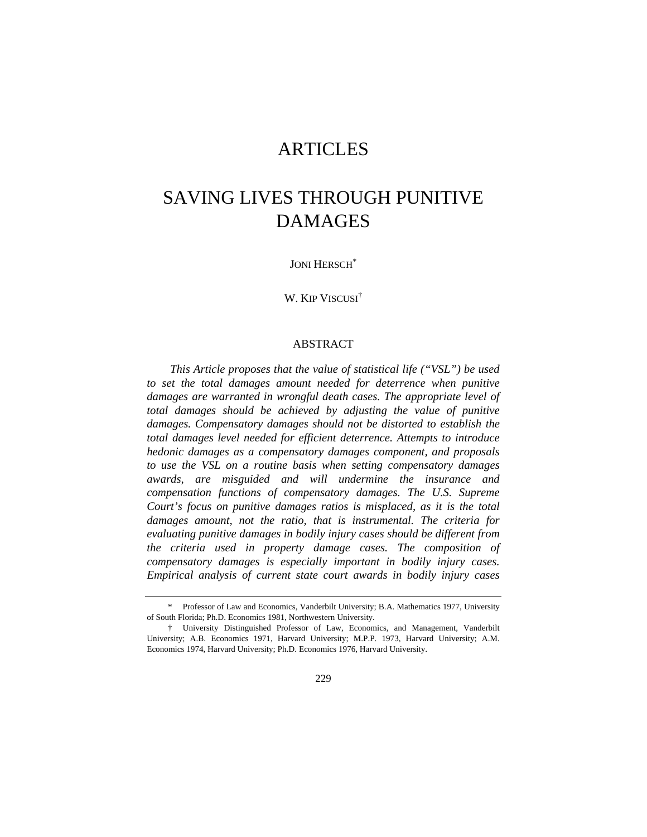## ARTICLES

# SAVING LIVES THROUGH PUNITIVE DAMAGES

JONI HERSCH<sup>\*</sup>

W. KIP VISCUSI†

## ABSTRACT

*This Article proposes that the value of statistical life ("VSL") be used*  to set the total damages amount needed for deterrence when punitive damages are warranted in wrongful death cases. The appropriate level of *total damages should be achieved by adjusting the value of punitive damages. Compensatory damages should not be distorted to establish the total damages level needed for efficient deterrence. Attempts to introduce hedonic damages as a compensatory damages component, and proposals to use the VSL on a routine basis when setting compensatory damages awards, are misguided and will undermine the insurance and compensation functions of compensatory damages. The U.S. Supreme Court's focus on punitive damages ratios is misplaced, as it is the total damages amount, not the ratio, that is instrumental. The criteria for evaluating punitive damages in bodily injury cases should be different from the criteria used in property damage cases. The composition of compensatory damages is especially important in bodily injury cases. Empirical analysis of current state court awards in bodily injury cases* 

 <sup>\*</sup> Professor of Law and Economics, Vanderbilt University; B.A. Mathematics 1977, University of South Florida; Ph.D. Economics 1981, Northwestern University.

 <sup>†</sup> University Distinguished Professor of Law, Economics, and Management, Vanderbilt University; A.B. Economics 1971, Harvard University; M.P.P. 1973, Harvard University; A.M. Economics 1974, Harvard University; Ph.D. Economics 1976, Harvard University.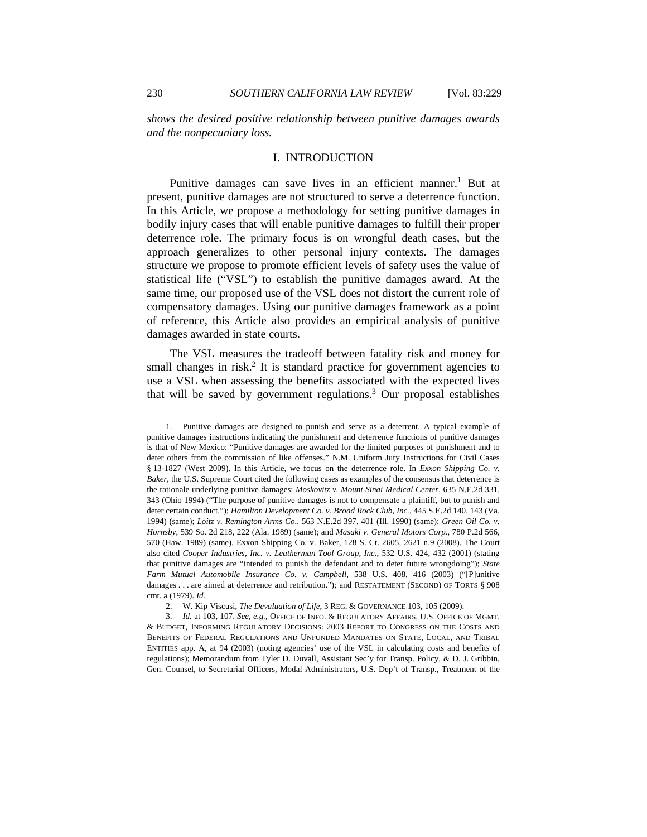*shows the desired positive relationship between punitive damages awards and the nonpecuniary loss.* 

## I. INTRODUCTION

Punitive damages can save lives in an efficient manner.<sup>1</sup> But at present, punitive damages are not structured to serve a deterrence function. In this Article, we propose a methodology for setting punitive damages in bodily injury cases that will enable punitive damages to fulfill their proper deterrence role. The primary focus is on wrongful death cases, but the approach generalizes to other personal injury contexts. The damages structure we propose to promote efficient levels of safety uses the value of statistical life ("VSL") to establish the punitive damages award. At the same time, our proposed use of the VSL does not distort the current role of compensatory damages. Using our punitive damages framework as a point of reference, this Article also provides an empirical analysis of punitive damages awarded in state courts.

The VSL measures the tradeoff between fatality risk and money for small changes in risk.<sup>2</sup> It is standard practice for government agencies to use a VSL when assessing the benefits associated with the expected lives that will be saved by government regulations. $3$  Our proposal establishes

 <sup>1.</sup> Punitive damages are designed to punish and serve as a deterrent. A typical example of punitive damages instructions indicating the punishment and deterrence functions of punitive damages is that of New Mexico: "Punitive damages are awarded for the limited purposes of punishment and to deter others from the commission of like offenses." N.M. Uniform Jury Instructions for Civil Cases § 13-1827 (West 2009). In this Article, we focus on the deterrence role. In *Exxon Shipping Co. v. Baker*, the U.S. Supreme Court cited the following cases as examples of the consensus that deterrence is the rationale underlying punitive damages: *Moskovitz v. Mount Sinai Medical Center*, 635 N.E.2d 331, 343 (Ohio 1994) ("The purpose of punitive damages is not to compensate a plaintiff, but to punish and deter certain conduct."); *Hamilton Development Co. v. Broad Rock Club, Inc.*, 445 S.E.2d 140, 143 (Va. 1994) (same); *Loitz v. Remington Arms Co.*, 563 N.E.2d 397, 401 (Ill. 1990) (same); *Green Oil Co. v. Hornsby*, 539 So. 2d 218, 222 (Ala. 1989) (same); and *Masaki v. General Motors Corp.*, 780 P.2d 566, 570 (Haw. 1989) (same). Exxon Shipping Co. v. Baker, 128 S. Ct. 2605, 2621 n.9 (2008). The Court also cited *Cooper Industries, Inc. v. Leatherman Tool Group, Inc.*, 532 U.S. 424, 432 (2001) (stating that punitive damages are "intended to punish the defendant and to deter future wrongdoing"); *State Farm Mutual Automobile Insurance Co. v. Campbell*, 538 U.S. 408, 416 (2003) ("[P]unitive damages . . . are aimed at deterrence and retribution."); and RESTATEMENT (SECOND) OF TORTS § 908 cmt. a (1979). *Id.*

 <sup>2.</sup> W. Kip Viscusi, *The Devaluation of Life*, 3 REG. & GOVERNANCE 103, 105 (2009).

 <sup>3.</sup> *Id.* at 103, 107. *See, e.g.*, OFFICE OF INFO. & REGULATORY AFFAIRS, U.S. OFFICE OF MGMT. & BUDGET, INFORMING REGULATORY DECISIONS: 2003 REPORT TO CONGRESS ON THE COSTS AND BENEFITS OF FEDERAL REGULATIONS AND UNFUNDED MANDATES ON STATE, LOCAL, AND TRIBAL ENTITIES app. A, at 94 (2003) (noting agencies' use of the VSL in calculating costs and benefits of regulations); Memorandum from Tyler D. Duvall, Assistant Sec'y for Transp. Policy, & D. J. Gribbin, Gen. Counsel, to Secretarial Officers, Modal Administrators, U.S. Dep't of Transp., Treatment of the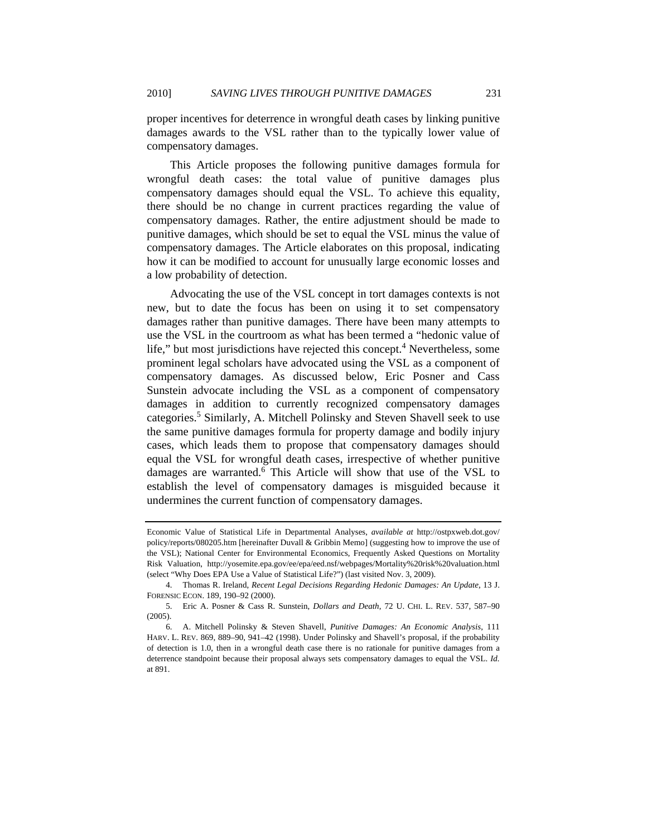proper incentives for deterrence in wrongful death cases by linking punitive damages awards to the VSL rather than to the typically lower value of compensatory damages.

This Article proposes the following punitive damages formula for wrongful death cases: the total value of punitive damages plus compensatory damages should equal the VSL. To achieve this equality, there should be no change in current practices regarding the value of compensatory damages. Rather, the entire adjustment should be made to punitive damages, which should be set to equal the VSL minus the value of compensatory damages. The Article elaborates on this proposal, indicating how it can be modified to account for unusually large economic losses and a low probability of detection.

Advocating the use of the VSL concept in tort damages contexts is not new, but to date the focus has been on using it to set compensatory damages rather than punitive damages. There have been many attempts to use the VSL in the courtroom as what has been termed a "hedonic value of life," but most jurisdictions have rejected this concept.<sup>4</sup> Nevertheless, some prominent legal scholars have advocated using the VSL as a component of compensatory damages. As discussed below, Eric Posner and Cass Sunstein advocate including the VSL as a component of compensatory damages in addition to currently recognized compensatory damages categories.<sup>5</sup> Similarly, A. Mitchell Polinsky and Steven Shavell seek to use the same punitive damages formula for property damage and bodily injury cases, which leads them to propose that compensatory damages should equal the VSL for wrongful death cases, irrespective of whether punitive damages are warranted.<sup>6</sup> This Article will show that use of the VSL to establish the level of compensatory damages is misguided because it undermines the current function of compensatory damages.

Economic Value of Statistical Life in Departmental Analyses, *available at* http://ostpxweb.dot.gov/ policy/reports/080205.htm [hereinafter Duvall & Gribbin Memo] (suggesting how to improve the use of the VSL); National Center for Environmental Economics, Frequently Asked Questions on Mortality Risk Valuation, http://yosemite.epa.gov/ee/epa/eed.nsf/webpages/Mortality%20risk%20valuation.html (select "Why Does EPA Use a Value of Statistical Life?") (last visited Nov. 3, 2009).

 <sup>4.</sup> Thomas R. Ireland, *Recent Legal Decisions Regarding Hedonic Damages: An Update*, 13 J. FORENSIC ECON. 189, 190–92 (2000).

 <sup>5.</sup> Eric A. Posner & Cass R. Sunstein, *Dollars and Death*, 72 U. CHI. L. REV. 537, 587–90 (2005).

 <sup>6.</sup> A. Mitchell Polinsky & Steven Shavell, *Punitive Damages: An Economic Analysis*, 111 HARV. L. REV. 869, 889–90, 941–42 (1998). Under Polinsky and Shavell's proposal, if the probability of detection is 1.0, then in a wrongful death case there is no rationale for punitive damages from a deterrence standpoint because their proposal always sets compensatory damages to equal the VSL. *Id.* at 891.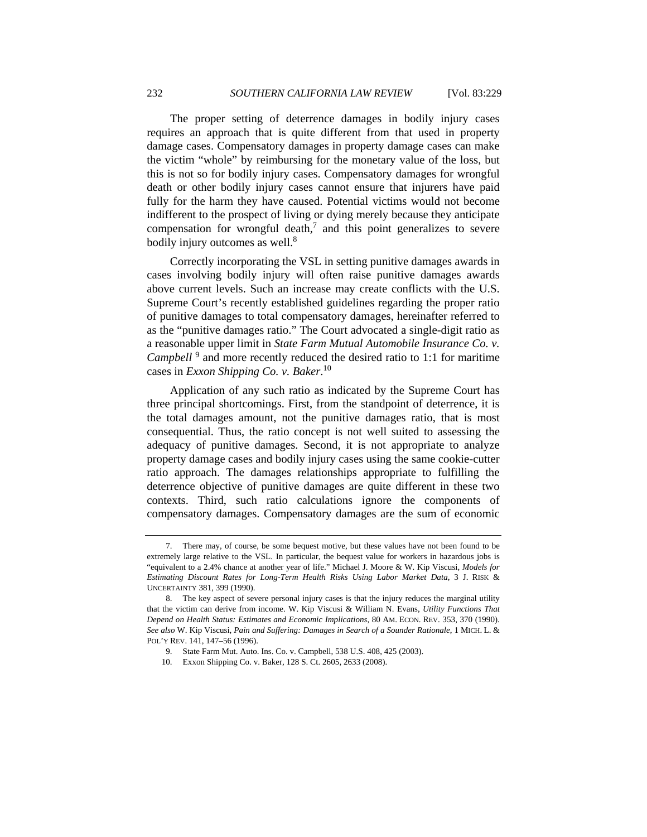The proper setting of deterrence damages in bodily injury cases requires an approach that is quite different from that used in property damage cases. Compensatory damages in property damage cases can make the victim "whole" by reimbursing for the monetary value of the loss, but this is not so for bodily injury cases. Compensatory damages for wrongful death or other bodily injury cases cannot ensure that injurers have paid fully for the harm they have caused. Potential victims would not become indifferent to the prospect of living or dying merely because they anticipate compensation for wrongful death, $7$  and this point generalizes to severe bodily injury outcomes as well.<sup>8</sup>

Correctly incorporating the VSL in setting punitive damages awards in cases involving bodily injury will often raise punitive damages awards above current levels. Such an increase may create conflicts with the U.S. Supreme Court's recently established guidelines regarding the proper ratio of punitive damages to total compensatory damages, hereinafter referred to as the "punitive damages ratio." The Court advocated a single-digit ratio as a reasonable upper limit in *State Farm Mutual Automobile Insurance Co. v. Campbell*<sup>9</sup> and more recently reduced the desired ratio to 1:1 for maritime cases in *Exxon Shipping Co. v. Baker*. 10

Application of any such ratio as indicated by the Supreme Court has three principal shortcomings. First, from the standpoint of deterrence, it is the total damages amount, not the punitive damages ratio, that is most consequential. Thus, the ratio concept is not well suited to assessing the adequacy of punitive damages. Second, it is not appropriate to analyze property damage cases and bodily injury cases using the same cookie-cutter ratio approach. The damages relationships appropriate to fulfilling the deterrence objective of punitive damages are quite different in these two contexts. Third, such ratio calculations ignore the components of compensatory damages. Compensatory damages are the sum of economic

 <sup>7.</sup> There may, of course, be some bequest motive, but these values have not been found to be extremely large relative to the VSL. In particular, the bequest value for workers in hazardous jobs is "equivalent to a 2.4% chance at another year of life." Michael J. Moore & W. Kip Viscusi, *Models for Estimating Discount Rates for Long-Term Health Risks Using Labor Market Data*, 3 J. RISK & UNCERTAINTY 381, 399 (1990).

 <sup>8.</sup> The key aspect of severe personal injury cases is that the injury reduces the marginal utility that the victim can derive from income. W. Kip Viscusi & William N. Evans, *Utility Functions That Depend on Health Status: Estimates and Economic Implications*, 80 AM. ECON. REV. 353, 370 (1990). *See also* W. Kip Viscusi, *Pain and Suffering: Damages in Search of a Sounder Rationale*, 1 MICH. L. & POL'Y REV. 141, 147–56 (1996).

<sup>9.</sup> State Farm Mut. Auto. Ins. Co. v. Campbell, 538 U.S. 408, 425 (2003).

<sup>10.</sup> Exxon Shipping Co. v. Baker, 128 S. Ct. 2605, 2633 (2008).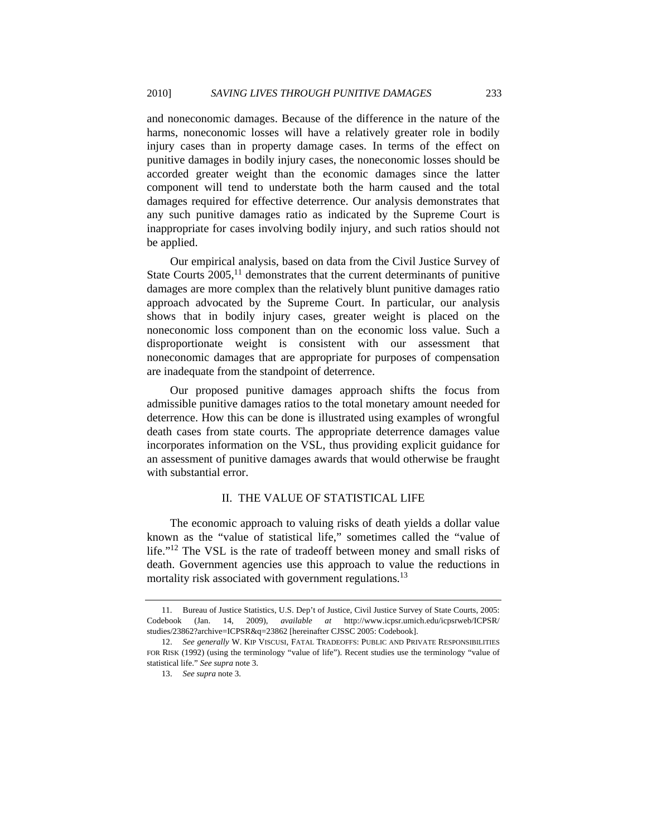and noneconomic damages. Because of the difference in the nature of the harms, noneconomic losses will have a relatively greater role in bodily injury cases than in property damage cases. In terms of the effect on punitive damages in bodily injury cases, the noneconomic losses should be accorded greater weight than the economic damages since the latter component will tend to understate both the harm caused and the total damages required for effective deterrence. Our analysis demonstrates that any such punitive damages ratio as indicated by the Supreme Court is inappropriate for cases involving bodily injury, and such ratios should not be applied.

Our empirical analysis, based on data from the Civil Justice Survey of State Courts  $2005$ ,<sup>11</sup> demonstrates that the current determinants of punitive damages are more complex than the relatively blunt punitive damages ratio approach advocated by the Supreme Court. In particular, our analysis shows that in bodily injury cases, greater weight is placed on the noneconomic loss component than on the economic loss value. Such a disproportionate weight is consistent with our assessment that noneconomic damages that are appropriate for purposes of compensation are inadequate from the standpoint of deterrence.

Our proposed punitive damages approach shifts the focus from admissible punitive damages ratios to the total monetary amount needed for deterrence. How this can be done is illustrated using examples of wrongful death cases from state courts. The appropriate deterrence damages value incorporates information on the VSL, thus providing explicit guidance for an assessment of punitive damages awards that would otherwise be fraught with substantial error.

## II. THE VALUE OF STATISTICAL LIFE

The economic approach to valuing risks of death yields a dollar value known as the "value of statistical life," sometimes called the "value of life."<sup>12</sup> The VSL is the rate of tradeoff between money and small risks of death. Government agencies use this approach to value the reductions in mortality risk associated with government regulations.<sup>13</sup>

 <sup>11.</sup> Bureau of Justice Statistics, U.S. Dep't of Justice, Civil Justice Survey of State Courts, 2005: Codebook (Jan. 14, 2009), *available at* http://www.icpsr.umich.edu/icpsrweb/ICPSR/ studies/23862?archive=ICPSR&q=23862 [hereinafter CJSSC 2005: Codebook].

 <sup>12.</sup> *See generally* W. KIP VISCUSI, FATAL TRADEOFFS: PUBLIC AND PRIVATE RESPONSIBILITIES FOR RISK (1992) (using the terminology "value of life"). Recent studies use the terminology "value of statistical life." *See supra* note 3.

 <sup>13.</sup> *See supra* note 3.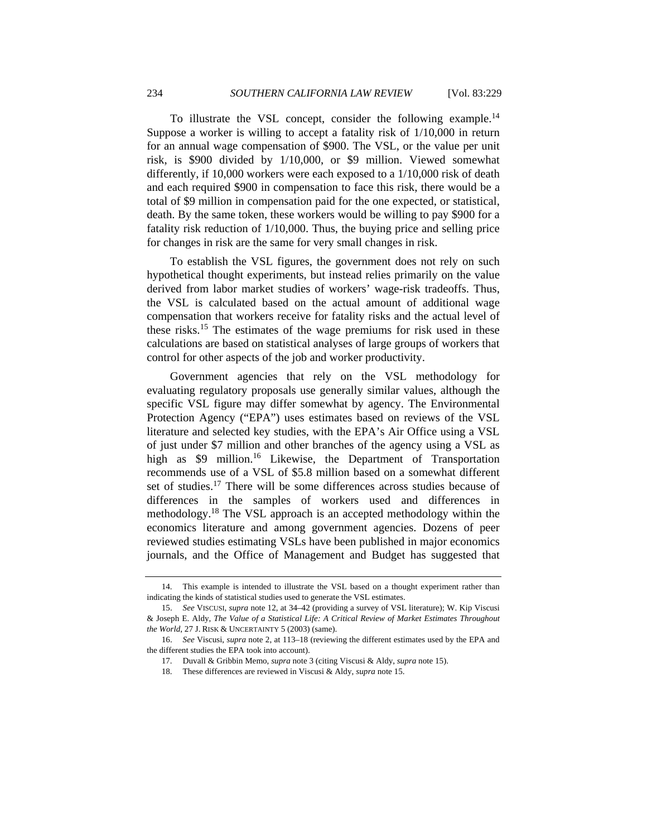To illustrate the VSL concept, consider the following example.14 Suppose a worker is willing to accept a fatality risk of 1/10,000 in return for an annual wage compensation of \$900. The VSL, or the value per unit risk, is \$900 divided by 1/10,000, or \$9 million. Viewed somewhat differently, if 10,000 workers were each exposed to a 1/10,000 risk of death and each required \$900 in compensation to face this risk, there would be a total of \$9 million in compensation paid for the one expected, or statistical, death. By the same token, these workers would be willing to pay \$900 for a fatality risk reduction of 1/10,000. Thus, the buying price and selling price for changes in risk are the same for very small changes in risk.

To establish the VSL figures, the government does not rely on such hypothetical thought experiments, but instead relies primarily on the value derived from labor market studies of workers' wage-risk tradeoffs. Thus, the VSL is calculated based on the actual amount of additional wage compensation that workers receive for fatality risks and the actual level of these risks.15 The estimates of the wage premiums for risk used in these calculations are based on statistical analyses of large groups of workers that control for other aspects of the job and worker productivity.

Government agencies that rely on the VSL methodology for evaluating regulatory proposals use generally similar values, although the specific VSL figure may differ somewhat by agency. The Environmental Protection Agency ("EPA") uses estimates based on reviews of the VSL literature and selected key studies, with the EPA's Air Office using a VSL of just under \$7 million and other branches of the agency using a VSL as high as \$9 million.<sup>16</sup> Likewise, the Department of Transportation recommends use of a VSL of \$5.8 million based on a somewhat different set of studies.<sup>17</sup> There will be some differences across studies because of differences in the samples of workers used and differences in methodology.18 The VSL approach is an accepted methodology within the economics literature and among government agencies. Dozens of peer reviewed studies estimating VSLs have been published in major economics journals, and the Office of Management and Budget has suggested that

 <sup>14.</sup> This example is intended to illustrate the VSL based on a thought experiment rather than indicating the kinds of statistical studies used to generate the VSL estimates.

 <sup>15.</sup> *See* VISCUSI, *supra* note 12, at 34–42 (providing a survey of VSL literature); W. Kip Viscusi & Joseph E. Aldy, *The Value of a Statistical Life: A Critical Review of Market Estimates Throughout the World*, 27 J. RISK & UNCERTAINTY 5 (2003) (same).

 <sup>16.</sup> *See* Viscusi, *supra* note 2, at 113–18 (reviewing the different estimates used by the EPA and the different studies the EPA took into account).

 <sup>17.</sup> Duvall & Gribbin Memo, *supra* note 3 (citing Viscusi & Aldy, *supra* note 15).

 <sup>18.</sup> These differences are reviewed in Viscusi & Aldy, *supra* note 15.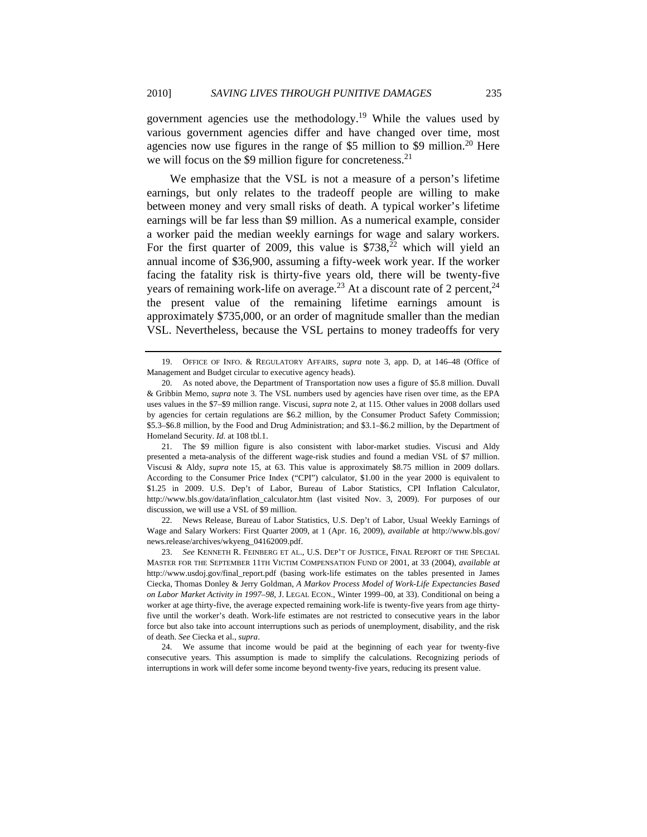government agencies use the methodology.<sup>19</sup> While the values used by various government agencies differ and have changed over time, most agencies now use figures in the range of  $$5$  million to  $$9$  million.<sup>20</sup> Here we will focus on the \$9 million figure for concreteness.<sup>21</sup>

We emphasize that the VSL is not a measure of a person's lifetime earnings, but only relates to the tradeoff people are willing to make between money and very small risks of death. A typical worker's lifetime earnings will be far less than \$9 million. As a numerical example, consider a worker paid the median weekly earnings for wage and salary workers. For the first quarter of 2009, this value is  $$738<sup>22</sup>$  which will yield an annual income of \$36,900, assuming a fifty-week work year. If the worker facing the fatality risk is thirty-five years old, there will be twenty-five years of remaining work-life on average.<sup>23</sup> At a discount rate of 2 percent,<sup>24</sup> the present value of the remaining lifetime earnings amount is approximately \$735,000, or an order of magnitude smaller than the median VSL. Nevertheless, because the VSL pertains to money tradeoffs for very

 21. The \$9 million figure is also consistent with labor-market studies. Viscusi and Aldy presented a meta-analysis of the different wage-risk studies and found a median VSL of \$7 million. Viscusi & Aldy, *supra* note 15, at 63. This value is approximately \$8.75 million in 2009 dollars. According to the Consumer Price Index ("CPI") calculator, \$1.00 in the year 2000 is equivalent to \$1.25 in 2009. U.S. Dep't of Labor, Bureau of Labor Statistics, CPI Inflation Calculator, http://www.bls.gov/data/inflation\_calculator.htm (last visited Nov. 3, 2009). For purposes of our discussion, we will use a VSL of \$9 million.

 22. News Release, Bureau of Labor Statistics, U.S. Dep't of Labor, Usual Weekly Earnings of Wage and Salary Workers: First Quarter 2009, at 1 (Apr. 16, 2009), *available at* http://www.bls.gov/ news.release/archives/wkyeng\_04162009.pdf.

 23. *See* KENNETH R. FEINBERG ET AL., U.S. DEP'T OF JUSTICE, FINAL REPORT OF THE SPECIAL MASTER FOR THE SEPTEMBER 11TH VICTIM COMPENSATION FUND OF 2001, at 33 (2004), *available at* http://www.usdoj.gov/final\_report.pdf (basing work-life estimates on the tables presented in James Ciecka, Thomas Donley & Jerry Goldman, *A Markov Process Model of Work-Life Expectancies Based on Labor Market Activity in 1997–98*, J. LEGAL ECON., Winter 1999–00, at 33). Conditional on being a worker at age thirty-five, the average expected remaining work-life is twenty-five years from age thirtyfive until the worker's death. Work-life estimates are not restricted to consecutive years in the labor force but also take into account interruptions such as periods of unemployment, disability, and the risk of death. *See* Ciecka et al., *supra*.

 24. We assume that income would be paid at the beginning of each year for twenty-five consecutive years. This assumption is made to simplify the calculations. Recognizing periods of interruptions in work will defer some income beyond twenty-five years, reducing its present value.

 <sup>19.</sup> OFFICE OF INFO. & REGULATORY AFFAIRS, *supra* note 3, app. D, at 146–48 (Office of Management and Budget circular to executive agency heads).

 <sup>20.</sup> As noted above, the Department of Transportation now uses a figure of \$5.8 million. Duvall & Gribbin Memo, *supra* note 3. The VSL numbers used by agencies have risen over time, as the EPA uses values in the \$7–\$9 million range. Viscusi, *supra* note 2, at 115. Other values in 2008 dollars used by agencies for certain regulations are \$6.2 million, by the Consumer Product Safety Commission; \$5.3–\$6.8 million, by the Food and Drug Administration; and \$3.1–\$6.2 million, by the Department of Homeland Security. *Id.* at 108 tbl.1.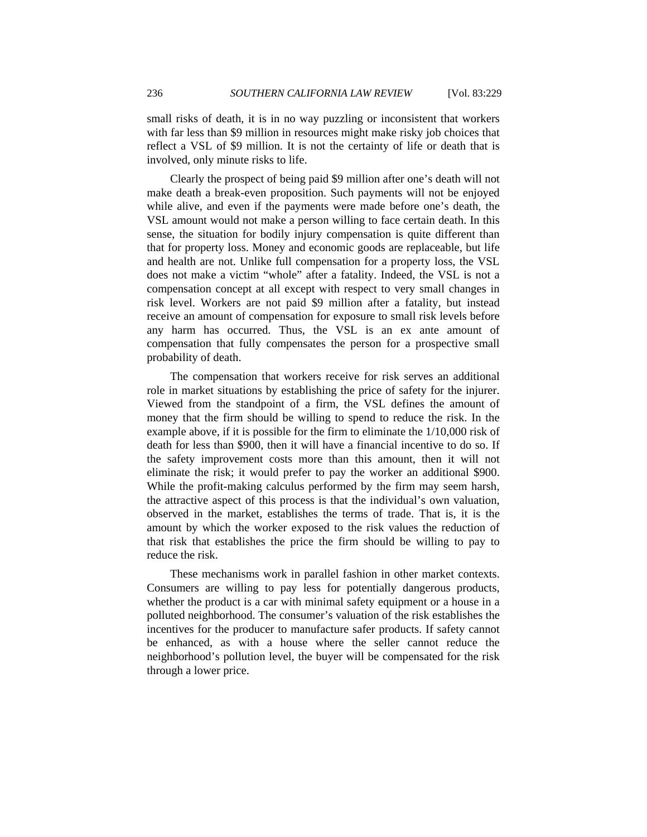small risks of death, it is in no way puzzling or inconsistent that workers with far less than \$9 million in resources might make risky job choices that reflect a VSL of \$9 million. It is not the certainty of life or death that is involved, only minute risks to life.

Clearly the prospect of being paid \$9 million after one's death will not make death a break-even proposition. Such payments will not be enjoyed while alive, and even if the payments were made before one's death, the VSL amount would not make a person willing to face certain death. In this sense, the situation for bodily injury compensation is quite different than that for property loss. Money and economic goods are replaceable, but life and health are not. Unlike full compensation for a property loss, the VSL does not make a victim "whole" after a fatality. Indeed, the VSL is not a compensation concept at all except with respect to very small changes in risk level. Workers are not paid \$9 million after a fatality, but instead receive an amount of compensation for exposure to small risk levels before any harm has occurred. Thus, the VSL is an ex ante amount of compensation that fully compensates the person for a prospective small probability of death.

The compensation that workers receive for risk serves an additional role in market situations by establishing the price of safety for the injurer. Viewed from the standpoint of a firm, the VSL defines the amount of money that the firm should be willing to spend to reduce the risk. In the example above, if it is possible for the firm to eliminate the 1/10,000 risk of death for less than \$900, then it will have a financial incentive to do so. If the safety improvement costs more than this amount, then it will not eliminate the risk; it would prefer to pay the worker an additional \$900. While the profit-making calculus performed by the firm may seem harsh, the attractive aspect of this process is that the individual's own valuation, observed in the market, establishes the terms of trade. That is, it is the amount by which the worker exposed to the risk values the reduction of that risk that establishes the price the firm should be willing to pay to reduce the risk.

These mechanisms work in parallel fashion in other market contexts. Consumers are willing to pay less for potentially dangerous products, whether the product is a car with minimal safety equipment or a house in a polluted neighborhood. The consumer's valuation of the risk establishes the incentives for the producer to manufacture safer products. If safety cannot be enhanced, as with a house where the seller cannot reduce the neighborhood's pollution level, the buyer will be compensated for the risk through a lower price.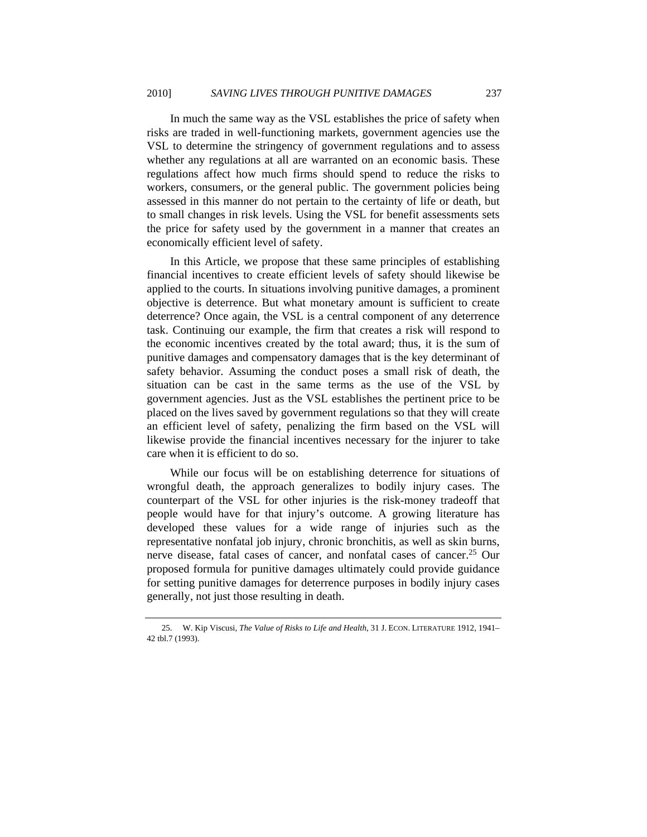In much the same way as the VSL establishes the price of safety when risks are traded in well-functioning markets, government agencies use the VSL to determine the stringency of government regulations and to assess whether any regulations at all are warranted on an economic basis. These regulations affect how much firms should spend to reduce the risks to workers, consumers, or the general public. The government policies being assessed in this manner do not pertain to the certainty of life or death, but to small changes in risk levels. Using the VSL for benefit assessments sets the price for safety used by the government in a manner that creates an economically efficient level of safety.

In this Article, we propose that these same principles of establishing financial incentives to create efficient levels of safety should likewise be applied to the courts. In situations involving punitive damages, a prominent objective is deterrence. But what monetary amount is sufficient to create deterrence? Once again, the VSL is a central component of any deterrence task. Continuing our example, the firm that creates a risk will respond to the economic incentives created by the total award; thus, it is the sum of punitive damages and compensatory damages that is the key determinant of safety behavior. Assuming the conduct poses a small risk of death, the situation can be cast in the same terms as the use of the VSL by government agencies. Just as the VSL establishes the pertinent price to be placed on the lives saved by government regulations so that they will create an efficient level of safety, penalizing the firm based on the VSL will likewise provide the financial incentives necessary for the injurer to take care when it is efficient to do so.

While our focus will be on establishing deterrence for situations of wrongful death, the approach generalizes to bodily injury cases. The counterpart of the VSL for other injuries is the risk-money tradeoff that people would have for that injury's outcome. A growing literature has developed these values for a wide range of injuries such as the representative nonfatal job injury, chronic bronchitis, as well as skin burns, nerve disease, fatal cases of cancer, and nonfatal cases of cancer.25 Our proposed formula for punitive damages ultimately could provide guidance for setting punitive damages for deterrence purposes in bodily injury cases generally, not just those resulting in death.

 <sup>25.</sup> W. Kip Viscusi, *The Value of Risks to Life and Health*, 31 J. ECON. LITERATURE 1912, 1941– 42 tbl.7 (1993).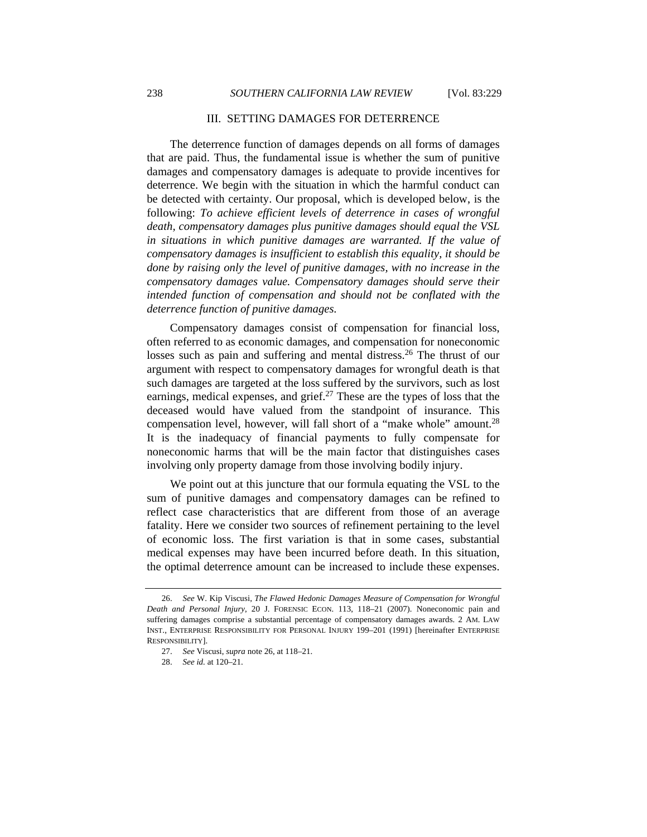#### III. SETTING DAMAGES FOR DETERRENCE

The deterrence function of damages depends on all forms of damages that are paid. Thus, the fundamental issue is whether the sum of punitive damages and compensatory damages is adequate to provide incentives for deterrence. We begin with the situation in which the harmful conduct can be detected with certainty. Our proposal, which is developed below, is the following: *To achieve efficient levels of deterrence in cases of wrongful death, compensatory damages plus punitive damages should equal the VSL in situations in which punitive damages are warranted. If the value of compensatory damages is insufficient to establish this equality, it should be done by raising only the level of punitive damages, with no increase in the compensatory damages value. Compensatory damages should serve their intended function of compensation and should not be conflated with the deterrence function of punitive damages.*

Compensatory damages consist of compensation for financial loss, often referred to as economic damages, and compensation for noneconomic losses such as pain and suffering and mental distress.<sup>26</sup> The thrust of our argument with respect to compensatory damages for wrongful death is that such damages are targeted at the loss suffered by the survivors, such as lost earnings, medical expenses, and grief. $27$  These are the types of loss that the deceased would have valued from the standpoint of insurance. This compensation level, however, will fall short of a "make whole" amount.<sup>28</sup> It is the inadequacy of financial payments to fully compensate for noneconomic harms that will be the main factor that distinguishes cases involving only property damage from those involving bodily injury.

We point out at this juncture that our formula equating the VSL to the sum of punitive damages and compensatory damages can be refined to reflect case characteristics that are different from those of an average fatality. Here we consider two sources of refinement pertaining to the level of economic loss. The first variation is that in some cases, substantial medical expenses may have been incurred before death. In this situation, the optimal deterrence amount can be increased to include these expenses.

 <sup>26.</sup> *See* W. Kip Viscusi, *The Flawed Hedonic Damages Measure of Compensation for Wrongful Death and Personal Injury*, 20 J. FORENSIC ECON. 113, 118–21 (2007). Noneconomic pain and suffering damages comprise a substantial percentage of compensatory damages awards. 2 AM. LAW INST., ENTERPRISE RESPONSIBILITY FOR PERSONAL INJURY 199–201 (1991) [hereinafter ENTERPRISE RESPONSIBILITY].

 <sup>27.</sup> *See* Viscusi, *supra* note 26, at 118–21.

 <sup>28.</sup> *See id.* at 120–21.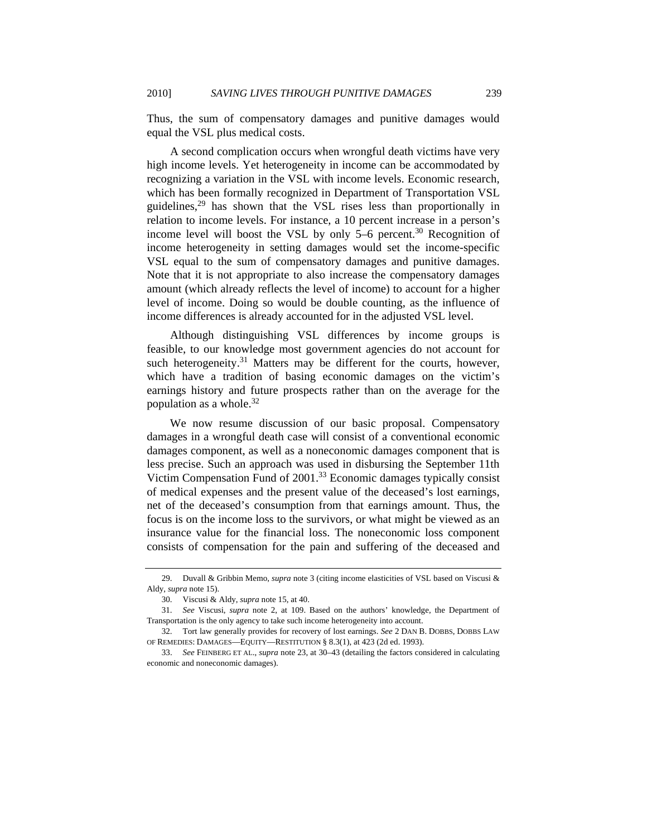Thus, the sum of compensatory damages and punitive damages would equal the VSL plus medical costs.

A second complication occurs when wrongful death victims have very high income levels. Yet heterogeneity in income can be accommodated by recognizing a variation in the VSL with income levels. Economic research, which has been formally recognized in Department of Transportation VSL guidelines, $29$  has shown that the VSL rises less than proportionally in relation to income levels. For instance, a 10 percent increase in a person's income level will boost the VSL by only  $5-6$  percent.<sup>30</sup> Recognition of income heterogeneity in setting damages would set the income-specific VSL equal to the sum of compensatory damages and punitive damages. Note that it is not appropriate to also increase the compensatory damages amount (which already reflects the level of income) to account for a higher level of income. Doing so would be double counting, as the influence of income differences is already accounted for in the adjusted VSL level.

Although distinguishing VSL differences by income groups is feasible, to our knowledge most government agencies do not account for such heterogeneity.<sup>31</sup> Matters may be different for the courts, however, which have a tradition of basing economic damages on the victim's earnings history and future prospects rather than on the average for the population as a whole. $32$ 

We now resume discussion of our basic proposal. Compensatory damages in a wrongful death case will consist of a conventional economic damages component, as well as a noneconomic damages component that is less precise. Such an approach was used in disbursing the September 11th Victim Compensation Fund of 2001.33 Economic damages typically consist of medical expenses and the present value of the deceased's lost earnings, net of the deceased's consumption from that earnings amount. Thus, the focus is on the income loss to the survivors, or what might be viewed as an insurance value for the financial loss. The noneconomic loss component consists of compensation for the pain and suffering of the deceased and

 <sup>29.</sup> Duvall & Gribbin Memo, *supra* note 3 (citing income elasticities of VSL based on Viscusi & Aldy, *supra* note 15).

 <sup>30.</sup> Viscusi & Aldy, *supra* note 15, at 40.

 <sup>31.</sup> *See* Viscusi, *supra* note 2, at 109. Based on the authors' knowledge, the Department of Transportation is the only agency to take such income heterogeneity into account.

 <sup>32.</sup> Tort law generally provides for recovery of lost earnings. *See* 2 DAN B. DOBBS, DOBBS LAW OF REMEDIES: DAMAGES—EQUITY—RESTITUTION § 8.3(1), at 423 (2d ed. 1993).

 <sup>33.</sup> *See* FEINBERG ET AL., *supra* note 23, at 30–43 (detailing the factors considered in calculating economic and noneconomic damages).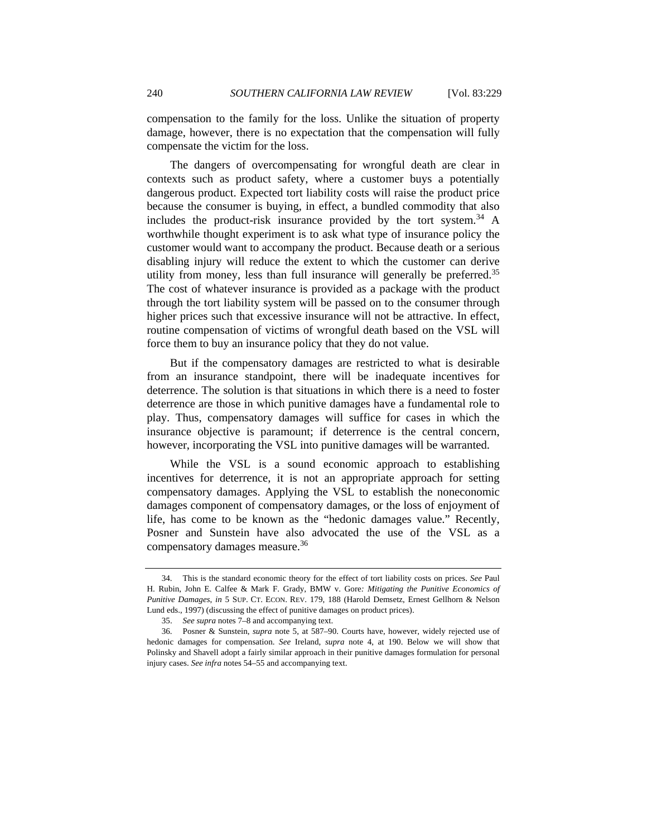compensation to the family for the loss. Unlike the situation of property damage, however, there is no expectation that the compensation will fully compensate the victim for the loss.

The dangers of overcompensating for wrongful death are clear in contexts such as product safety, where a customer buys a potentially dangerous product. Expected tort liability costs will raise the product price because the consumer is buying, in effect, a bundled commodity that also includes the product-risk insurance provided by the tort system.<sup>34</sup> A worthwhile thought experiment is to ask what type of insurance policy the customer would want to accompany the product. Because death or a serious disabling injury will reduce the extent to which the customer can derive utility from money, less than full insurance will generally be preferred.<sup>35</sup> The cost of whatever insurance is provided as a package with the product through the tort liability system will be passed on to the consumer through higher prices such that excessive insurance will not be attractive. In effect, routine compensation of victims of wrongful death based on the VSL will force them to buy an insurance policy that they do not value.

But if the compensatory damages are restricted to what is desirable from an insurance standpoint, there will be inadequate incentives for deterrence. The solution is that situations in which there is a need to foster deterrence are those in which punitive damages have a fundamental role to play. Thus, compensatory damages will suffice for cases in which the insurance objective is paramount; if deterrence is the central concern, however, incorporating the VSL into punitive damages will be warranted.

While the VSL is a sound economic approach to establishing incentives for deterrence, it is not an appropriate approach for setting compensatory damages. Applying the VSL to establish the noneconomic damages component of compensatory damages, or the loss of enjoyment of life, has come to be known as the "hedonic damages value." Recently, Posner and Sunstein have also advocated the use of the VSL as a compensatory damages measure.<sup>36</sup>

 <sup>34.</sup> This is the standard economic theory for the effect of tort liability costs on prices. *See* Paul H. Rubin, John E. Calfee & Mark F. Grady, BMW v. Gore*: Mitigating the Punitive Economics of Punitive Damages*, *in* 5 SUP. CT. ECON. REV. 179, 188 (Harold Demsetz, Ernest Gellhorn & Nelson Lund eds., 1997) (discussing the effect of punitive damages on product prices).

 <sup>35.</sup> *See supra* notes 7–8 and accompanying text.

 <sup>36.</sup> Posner & Sunstein, *supra* note 5, at 587–90. Courts have, however, widely rejected use of hedonic damages for compensation. *See* Ireland, *supra* note 4, at 190. Below we will show that Polinsky and Shavell adopt a fairly similar approach in their punitive damages formulation for personal injury cases. *See infra* notes 54–55 and accompanying text.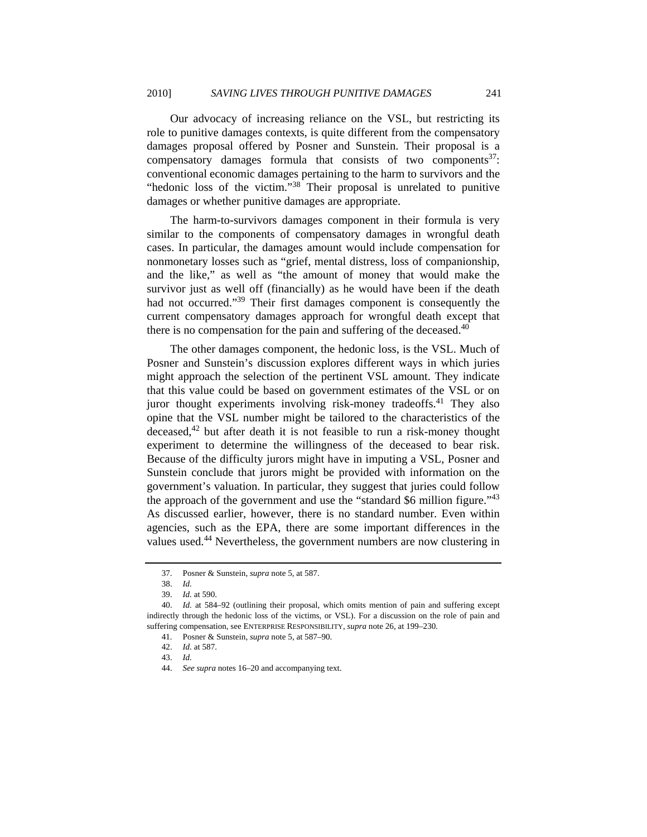Our advocacy of increasing reliance on the VSL, but restricting its role to punitive damages contexts, is quite different from the compensatory damages proposal offered by Posner and Sunstein. Their proposal is a compensatory damages formula that consists of two components $37$ : conventional economic damages pertaining to the harm to survivors and the "hedonic loss of the victim."<sup>38</sup> Their proposal is unrelated to punitive damages or whether punitive damages are appropriate.

The harm-to-survivors damages component in their formula is very similar to the components of compensatory damages in wrongful death cases. In particular, the damages amount would include compensation for nonmonetary losses such as "grief, mental distress, loss of companionship, and the like," as well as "the amount of money that would make the survivor just as well off (financially) as he would have been if the death had not occurred."<sup>39</sup> Their first damages component is consequently the current compensatory damages approach for wrongful death except that there is no compensation for the pain and suffering of the deceased.<sup>40</sup>

The other damages component, the hedonic loss, is the VSL. Much of Posner and Sunstein's discussion explores different ways in which juries might approach the selection of the pertinent VSL amount. They indicate that this value could be based on government estimates of the VSL or on juror thought experiments involving risk-money tradeoffs.<sup>41</sup> They also opine that the VSL number might be tailored to the characteristics of the deceased,<sup>42</sup> but after death it is not feasible to run a risk-money thought experiment to determine the willingness of the deceased to bear risk. Because of the difficulty jurors might have in imputing a VSL, Posner and Sunstein conclude that jurors might be provided with information on the government's valuation. In particular, they suggest that juries could follow the approach of the government and use the "standard \$6 million figure." $43$ As discussed earlier, however, there is no standard number. Even within agencies, such as the EPA, there are some important differences in the values used.44 Nevertheless, the government numbers are now clustering in

 <sup>37.</sup> Posner & Sunstein, *supra* note 5, at 587.

 <sup>38.</sup> *Id.*

 <sup>39.</sup> *Id.* at 590.

 <sup>40.</sup> *Id.* at 584–92 (outlining their proposal, which omits mention of pain and suffering except indirectly through the hedonic loss of the victims, or VSL). For a discussion on the role of pain and suffering compensation, see ENTERPRISE RESPONSIBILITY, *supra* note 26, at 199–230.

 <sup>41.</sup> Posner & Sunstein, *supra* note 5, at 587–90.

 <sup>42.</sup> *Id.* at 587.

 <sup>43.</sup> *Id.*

 <sup>44.</sup> *See supra* notes 16–20 and accompanying text.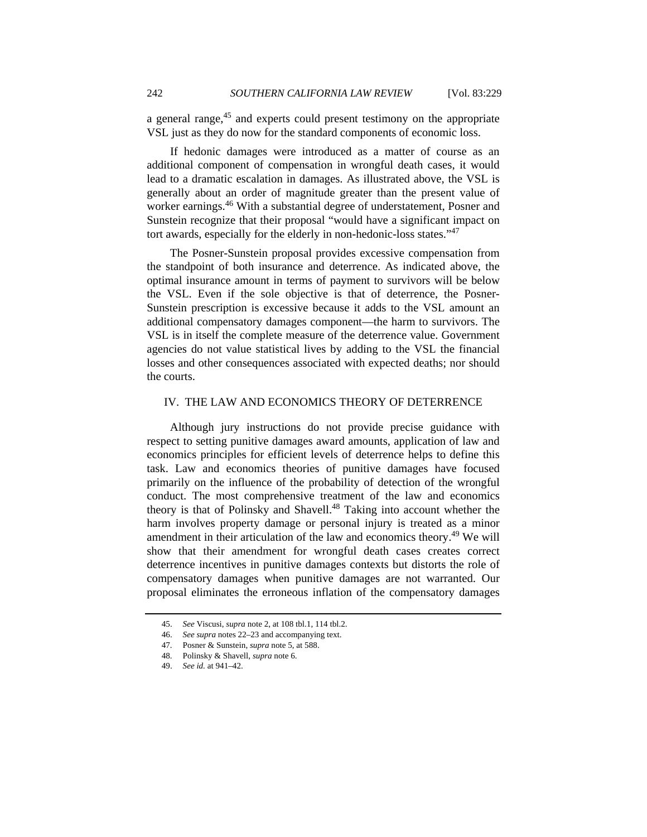a general range,<sup>45</sup> and experts could present testimony on the appropriate VSL just as they do now for the standard components of economic loss.

If hedonic damages were introduced as a matter of course as an additional component of compensation in wrongful death cases, it would lead to a dramatic escalation in damages. As illustrated above, the VSL is generally about an order of magnitude greater than the present value of worker earnings.<sup>46</sup> With a substantial degree of understatement, Posner and Sunstein recognize that their proposal "would have a significant impact on tort awards, especially for the elderly in non-hedonic-loss states."47

The Posner-Sunstein proposal provides excessive compensation from the standpoint of both insurance and deterrence. As indicated above, the optimal insurance amount in terms of payment to survivors will be below the VSL. Even if the sole objective is that of deterrence, the Posner-Sunstein prescription is excessive because it adds to the VSL amount an additional compensatory damages component—the harm to survivors. The VSL is in itself the complete measure of the deterrence value. Government agencies do not value statistical lives by adding to the VSL the financial losses and other consequences associated with expected deaths; nor should the courts.

#### IV. THE LAW AND ECONOMICS THEORY OF DETERRENCE

Although jury instructions do not provide precise guidance with respect to setting punitive damages award amounts, application of law and economics principles for efficient levels of deterrence helps to define this task. Law and economics theories of punitive damages have focused primarily on the influence of the probability of detection of the wrongful conduct. The most comprehensive treatment of the law and economics theory is that of Polinsky and Shavell.<sup>48</sup> Taking into account whether the harm involves property damage or personal injury is treated as a minor amendment in their articulation of the law and economics theory.<sup>49</sup> We will show that their amendment for wrongful death cases creates correct deterrence incentives in punitive damages contexts but distorts the role of compensatory damages when punitive damages are not warranted. Our proposal eliminates the erroneous inflation of the compensatory damages

47. Posner & Sunstein, *supra* note 5, at 588.

 <sup>45.</sup> *See* Viscusi, *supra* note 2, at 108 tbl.1, 114 tbl.2.

 <sup>46.</sup> *See supra* notes 22–23 and accompanying text.

 <sup>48.</sup> Polinsky & Shavell, *supra* note 6.

 <sup>49.</sup> *See id.* at 941–42.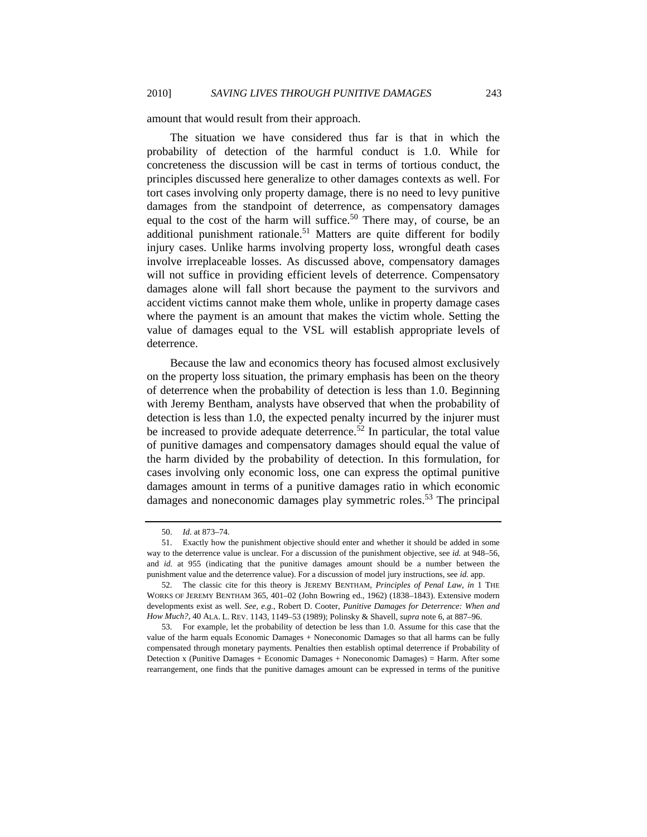amount that would result from their approach.

The situation we have considered thus far is that in which the probability of detection of the harmful conduct is 1.0. While for concreteness the discussion will be cast in terms of tortious conduct, the principles discussed here generalize to other damages contexts as well. For tort cases involving only property damage, there is no need to levy punitive damages from the standpoint of deterrence, as compensatory damages equal to the cost of the harm will suffice.<sup>50</sup> There may, of course, be an additional punishment rationale.<sup>51</sup> Matters are quite different for bodily injury cases. Unlike harms involving property loss, wrongful death cases involve irreplaceable losses. As discussed above, compensatory damages will not suffice in providing efficient levels of deterrence. Compensatory damages alone will fall short because the payment to the survivors and accident victims cannot make them whole, unlike in property damage cases where the payment is an amount that makes the victim whole. Setting the value of damages equal to the VSL will establish appropriate levels of deterrence.

Because the law and economics theory has focused almost exclusively on the property loss situation, the primary emphasis has been on the theory of deterrence when the probability of detection is less than 1.0. Beginning with Jeremy Bentham, analysts have observed that when the probability of detection is less than 1.0, the expected penalty incurred by the injurer must be increased to provide adequate deterrence.<sup>52</sup> In particular, the total value of punitive damages and compensatory damages should equal the value of the harm divided by the probability of detection. In this formulation, for cases involving only economic loss, one can express the optimal punitive damages amount in terms of a punitive damages ratio in which economic damages and noneconomic damages play symmetric roles.<sup>53</sup> The principal

 <sup>50.</sup> *Id.* at 873–74.

 <sup>51.</sup> Exactly how the punishment objective should enter and whether it should be added in some way to the deterrence value is unclear. For a discussion of the punishment objective, see *id.* at 948–56, and *id.* at 955 (indicating that the punitive damages amount should be a number between the punishment value and the deterrence value). For a discussion of model jury instructions, see *id.* app.

 <sup>52.</sup> The classic cite for this theory is JEREMY BENTHAM, *Principles of Penal Law*, *in* 1 THE WORKS OF JEREMY BENTHAM 365, 401–02 (John Bowring ed., 1962) (1838–1843). Extensive modern developments exist as well. *See, e.g.*, Robert D. Cooter, *Punitive Damages for Deterrence: When and How Much?*, 40 ALA. L. REV. 1143, 1149–53 (1989); Polinsky & Shavell, *supra* note 6, at 887–96.

 <sup>53.</sup> For example, let the probability of detection be less than 1.0. Assume for this case that the value of the harm equals Economic Damages + Noneconomic Damages so that all harms can be fully compensated through monetary payments. Penalties then establish optimal deterrence if Probability of Detection x (Punitive Damages + Economic Damages + Noneconomic Damages) = Harm. After some rearrangement, one finds that the punitive damages amount can be expressed in terms of the punitive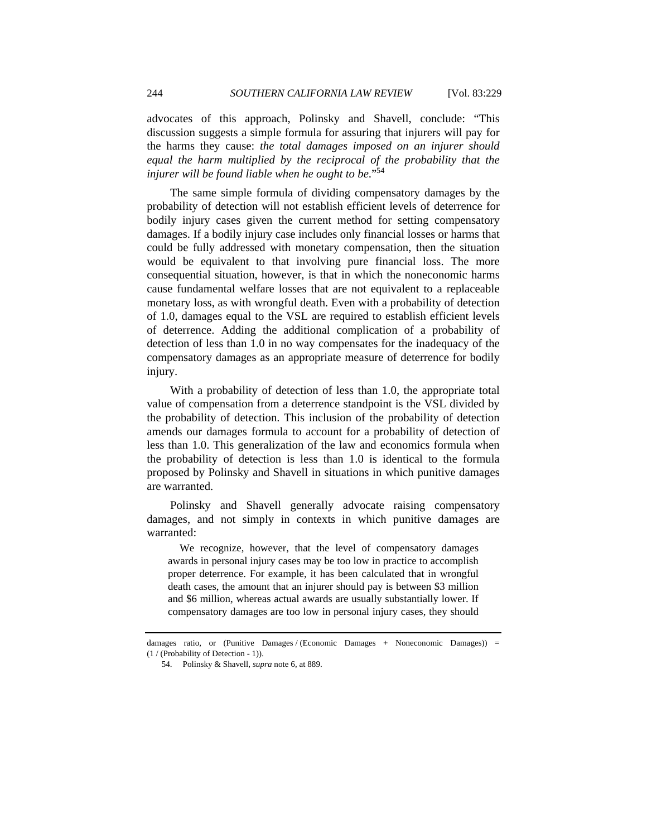advocates of this approach, Polinsky and Shavell, conclude: "This discussion suggests a simple formula for assuring that injurers will pay for the harms they cause: *the total damages imposed on an injurer should equal the harm multiplied by the reciprocal of the probability that the injurer will be found liable when he ought to be*."54

The same simple formula of dividing compensatory damages by the probability of detection will not establish efficient levels of deterrence for bodily injury cases given the current method for setting compensatory damages. If a bodily injury case includes only financial losses or harms that could be fully addressed with monetary compensation, then the situation would be equivalent to that involving pure financial loss. The more consequential situation, however, is that in which the noneconomic harms cause fundamental welfare losses that are not equivalent to a replaceable monetary loss, as with wrongful death. Even with a probability of detection of 1.0, damages equal to the VSL are required to establish efficient levels of deterrence. Adding the additional complication of a probability of detection of less than 1.0 in no way compensates for the inadequacy of the compensatory damages as an appropriate measure of deterrence for bodily injury.

With a probability of detection of less than 1.0, the appropriate total value of compensation from a deterrence standpoint is the VSL divided by the probability of detection. This inclusion of the probability of detection amends our damages formula to account for a probability of detection of less than 1.0. This generalization of the law and economics formula when the probability of detection is less than 1.0 is identical to the formula proposed by Polinsky and Shavell in situations in which punitive damages are warranted.

Polinsky and Shavell generally advocate raising compensatory damages, and not simply in contexts in which punitive damages are warranted:

 We recognize, however, that the level of compensatory damages awards in personal injury cases may be too low in practice to accomplish proper deterrence. For example, it has been calculated that in wrongful death cases, the amount that an injurer should pay is between \$3 million and \$6 million, whereas actual awards are usually substantially lower. If compensatory damages are too low in personal injury cases, they should

damages ratio, or (Punitive Damages / (Economic Damages + Noneconomic Damages)) = (1 / (Probability of Detection - 1)).

 <sup>54.</sup> Polinsky & Shavell, *supra* note 6, at 889.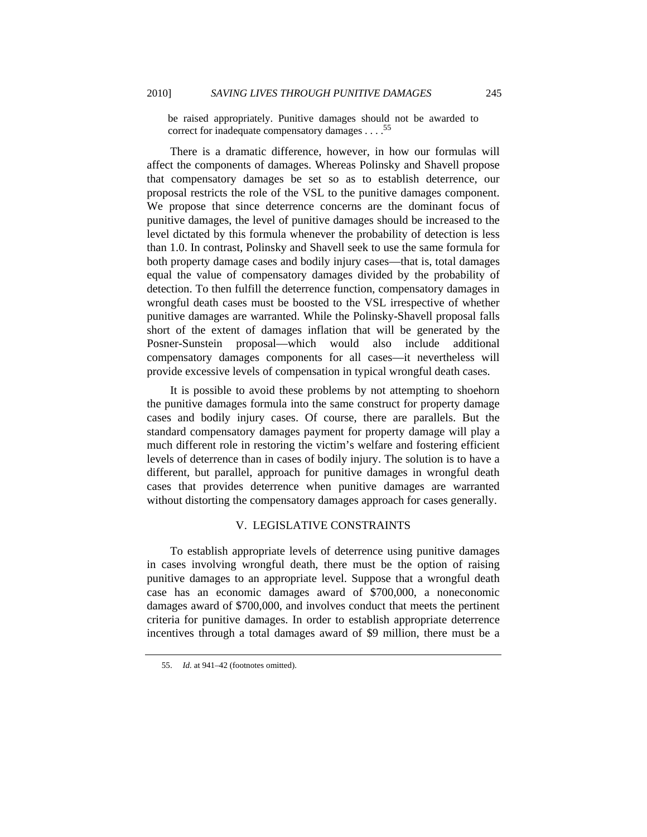be raised appropriately. Punitive damages should not be awarded to correct for inadequate compensatory damages  $\ldots$ .<sup>55</sup>

There is a dramatic difference, however, in how our formulas will affect the components of damages. Whereas Polinsky and Shavell propose that compensatory damages be set so as to establish deterrence, our proposal restricts the role of the VSL to the punitive damages component. We propose that since deterrence concerns are the dominant focus of punitive damages, the level of punitive damages should be increased to the level dictated by this formula whenever the probability of detection is less than 1.0. In contrast, Polinsky and Shavell seek to use the same formula for both property damage cases and bodily injury cases—that is, total damages equal the value of compensatory damages divided by the probability of detection. To then fulfill the deterrence function, compensatory damages in wrongful death cases must be boosted to the VSL irrespective of whether punitive damages are warranted. While the Polinsky-Shavell proposal falls short of the extent of damages inflation that will be generated by the Posner-Sunstein proposal—which would also include additional compensatory damages components for all cases—it nevertheless will provide excessive levels of compensation in typical wrongful death cases.

It is possible to avoid these problems by not attempting to shoehorn the punitive damages formula into the same construct for property damage cases and bodily injury cases. Of course, there are parallels. But the standard compensatory damages payment for property damage will play a much different role in restoring the victim's welfare and fostering efficient levels of deterrence than in cases of bodily injury. The solution is to have a different, but parallel, approach for punitive damages in wrongful death cases that provides deterrence when punitive damages are warranted without distorting the compensatory damages approach for cases generally.

## V. LEGISLATIVE CONSTRAINTS

To establish appropriate levels of deterrence using punitive damages in cases involving wrongful death, there must be the option of raising punitive damages to an appropriate level. Suppose that a wrongful death case has an economic damages award of \$700,000, a noneconomic damages award of \$700,000, and involves conduct that meets the pertinent criteria for punitive damages. In order to establish appropriate deterrence incentives through a total damages award of \$9 million, there must be a

 <sup>55.</sup> *Id.* at 941–42 (footnotes omitted).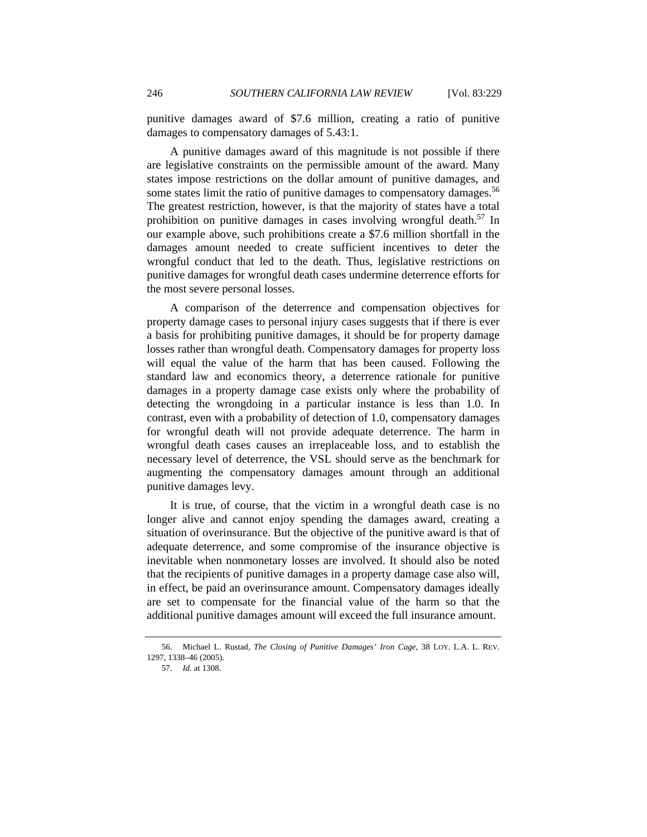punitive damages award of \$7.6 million, creating a ratio of punitive damages to compensatory damages of 5.43:1.

A punitive damages award of this magnitude is not possible if there are legislative constraints on the permissible amount of the award. Many states impose restrictions on the dollar amount of punitive damages, and some states limit the ratio of punitive damages to compensatory damages.<sup>56</sup> The greatest restriction, however, is that the majority of states have a total prohibition on punitive damages in cases involving wrongful death.<sup>57</sup> In our example above, such prohibitions create a \$7.6 million shortfall in the damages amount needed to create sufficient incentives to deter the wrongful conduct that led to the death. Thus, legislative restrictions on punitive damages for wrongful death cases undermine deterrence efforts for the most severe personal losses.

A comparison of the deterrence and compensation objectives for property damage cases to personal injury cases suggests that if there is ever a basis for prohibiting punitive damages, it should be for property damage losses rather than wrongful death. Compensatory damages for property loss will equal the value of the harm that has been caused. Following the standard law and economics theory, a deterrence rationale for punitive damages in a property damage case exists only where the probability of detecting the wrongdoing in a particular instance is less than 1.0. In contrast, even with a probability of detection of 1.0, compensatory damages for wrongful death will not provide adequate deterrence. The harm in wrongful death cases causes an irreplaceable loss, and to establish the necessary level of deterrence, the VSL should serve as the benchmark for augmenting the compensatory damages amount through an additional punitive damages levy.

It is true, of course, that the victim in a wrongful death case is no longer alive and cannot enjoy spending the damages award, creating a situation of overinsurance. But the objective of the punitive award is that of adequate deterrence, and some compromise of the insurance objective is inevitable when nonmonetary losses are involved. It should also be noted that the recipients of punitive damages in a property damage case also will, in effect, be paid an overinsurance amount. Compensatory damages ideally are set to compensate for the financial value of the harm so that the additional punitive damages amount will exceed the full insurance amount.

 <sup>56.</sup> Michael L. Rustad, *The Closing of Punitive Damages' Iron Cage*, 38 LOY. L.A. L. REV. 1297, 1338–46 (2005).

 <sup>57.</sup> *Id.* at 1308.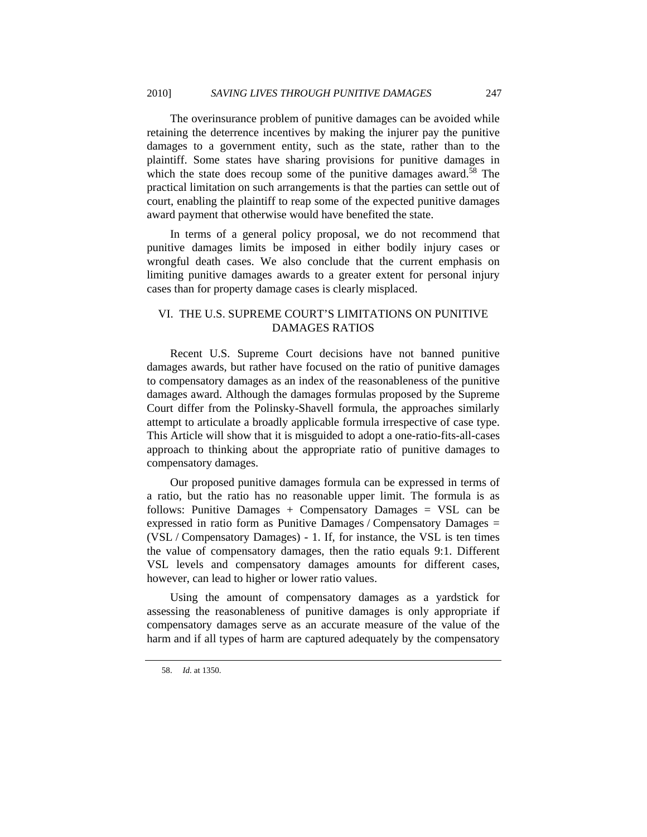The overinsurance problem of punitive damages can be avoided while retaining the deterrence incentives by making the injurer pay the punitive damages to a government entity, such as the state, rather than to the plaintiff. Some states have sharing provisions for punitive damages in which the state does recoup some of the punitive damages award.<sup>58</sup> The practical limitation on such arrangements is that the parties can settle out of court, enabling the plaintiff to reap some of the expected punitive damages award payment that otherwise would have benefited the state.

In terms of a general policy proposal, we do not recommend that punitive damages limits be imposed in either bodily injury cases or wrongful death cases. We also conclude that the current emphasis on limiting punitive damages awards to a greater extent for personal injury cases than for property damage cases is clearly misplaced.

## VI. THE U.S. SUPREME COURT'S LIMITATIONS ON PUNITIVE DAMAGES RATIOS

Recent U.S. Supreme Court decisions have not banned punitive damages awards, but rather have focused on the ratio of punitive damages to compensatory damages as an index of the reasonableness of the punitive damages award. Although the damages formulas proposed by the Supreme Court differ from the Polinsky-Shavell formula, the approaches similarly attempt to articulate a broadly applicable formula irrespective of case type. This Article will show that it is misguided to adopt a one-ratio-fits-all-cases approach to thinking about the appropriate ratio of punitive damages to compensatory damages.

Our proposed punitive damages formula can be expressed in terms of a ratio, but the ratio has no reasonable upper limit. The formula is as follows: Punitive Damages  $+$  Compensatory Damages  $=$  VSL can be expressed in ratio form as Punitive Damages / Compensatory Damages = (VSL / Compensatory Damages) - 1. If, for instance, the VSL is ten times the value of compensatory damages, then the ratio equals 9:1. Different VSL levels and compensatory damages amounts for different cases, however, can lead to higher or lower ratio values.

Using the amount of compensatory damages as a yardstick for assessing the reasonableness of punitive damages is only appropriate if compensatory damages serve as an accurate measure of the value of the harm and if all types of harm are captured adequately by the compensatory

 <sup>58.</sup> *Id.* at 1350.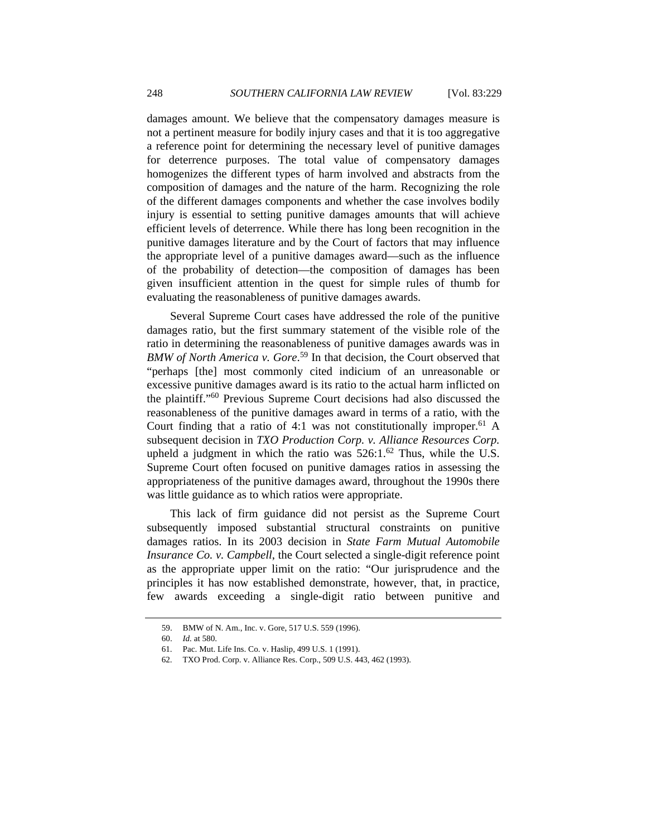damages amount. We believe that the compensatory damages measure is not a pertinent measure for bodily injury cases and that it is too aggregative a reference point for determining the necessary level of punitive damages for deterrence purposes. The total value of compensatory damages homogenizes the different types of harm involved and abstracts from the composition of damages and the nature of the harm. Recognizing the role of the different damages components and whether the case involves bodily injury is essential to setting punitive damages amounts that will achieve efficient levels of deterrence. While there has long been recognition in the punitive damages literature and by the Court of factors that may influence the appropriate level of a punitive damages award—such as the influence of the probability of detection—the composition of damages has been given insufficient attention in the quest for simple rules of thumb for evaluating the reasonableness of punitive damages awards.

Several Supreme Court cases have addressed the role of the punitive damages ratio, but the first summary statement of the visible role of the ratio in determining the reasonableness of punitive damages awards was in *BMW of North America v. Gore*. 59 In that decision, the Court observed that "perhaps [the] most commonly cited indicium of an unreasonable or excessive punitive damages award is its ratio to the actual harm inflicted on the plaintiff."60 Previous Supreme Court decisions had also discussed the reasonableness of the punitive damages award in terms of a ratio, with the Court finding that a ratio of 4:1 was not constitutionally improper.<sup>61</sup> A subsequent decision in *TXO Production Corp. v. Alliance Resources Corp.* upheld a judgment in which the ratio was  $526:1.^{62}$  Thus, while the U.S. Supreme Court often focused on punitive damages ratios in assessing the appropriateness of the punitive damages award, throughout the 1990s there was little guidance as to which ratios were appropriate.

This lack of firm guidance did not persist as the Supreme Court subsequently imposed substantial structural constraints on punitive damages ratios. In its 2003 decision in *State Farm Mutual Automobile Insurance Co. v. Campbell*, the Court selected a single-digit reference point as the appropriate upper limit on the ratio: "Our jurisprudence and the principles it has now established demonstrate, however, that, in practice, few awards exceeding a single-digit ratio between punitive and

<sup>59.</sup> BMW of N. Am., Inc. v. Gore, 517 U.S. 559 (1996).

 <sup>60.</sup> *Id.* at 580.

 <sup>61.</sup> Pac. Mut. Life Ins. Co. v. Haslip, 499 U.S. 1 (1991).

 <sup>62.</sup> TXO Prod. Corp. v. Alliance Res. Corp., 509 U.S. 443, 462 (1993).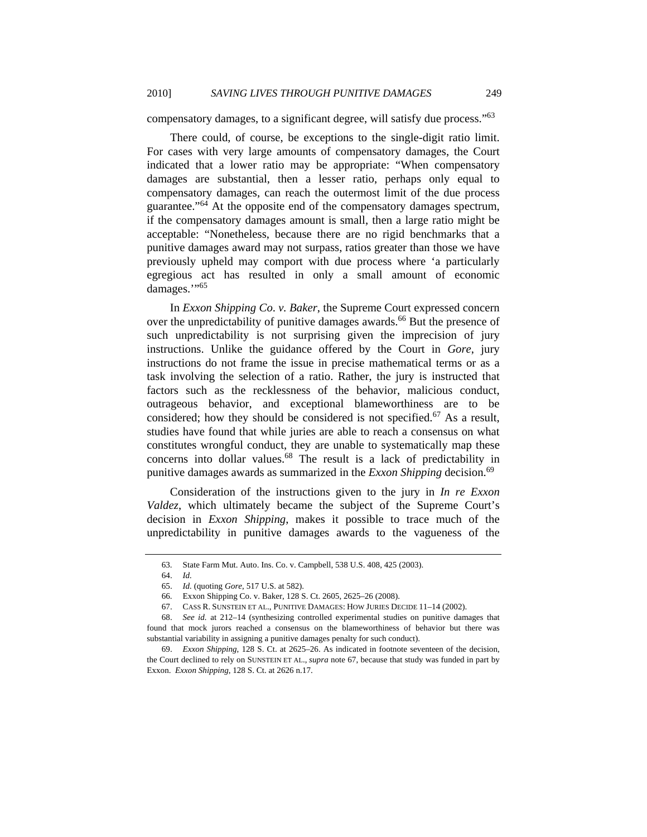compensatory damages, to a significant degree, will satisfy due process."63

There could, of course, be exceptions to the single-digit ratio limit. For cases with very large amounts of compensatory damages, the Court indicated that a lower ratio may be appropriate: "When compensatory damages are substantial, then a lesser ratio, perhaps only equal to compensatory damages, can reach the outermost limit of the due process guarantee."64 At the opposite end of the compensatory damages spectrum, if the compensatory damages amount is small, then a large ratio might be acceptable: "Nonetheless, because there are no rigid benchmarks that a punitive damages award may not surpass, ratios greater than those we have previously upheld may comport with due process where 'a particularly egregious act has resulted in only a small amount of economic damages."<sup>65</sup>

In *Exxon Shipping Co*. *v. Baker*, the Supreme Court expressed concern over the unpredictability of punitive damages awards.<sup>66</sup> But the presence of such unpredictability is not surprising given the imprecision of jury instructions. Unlike the guidance offered by the Court in *Gore*, jury instructions do not frame the issue in precise mathematical terms or as a task involving the selection of a ratio. Rather, the jury is instructed that factors such as the recklessness of the behavior, malicious conduct, outrageous behavior, and exceptional blameworthiness are to be considered; how they should be considered is not specified.<sup>67</sup> As a result, studies have found that while juries are able to reach a consensus on what constitutes wrongful conduct, they are unable to systematically map these concerns into dollar values.68 The result is a lack of predictability in punitive damages awards as summarized in the *Exxon Shipping* decision.69

Consideration of the instructions given to the jury in *In re Exxon Valdez*, which ultimately became the subject of the Supreme Court's decision in *Exxon Shipping*, makes it possible to trace much of the unpredictability in punitive damages awards to the vagueness of the

 <sup>63.</sup> State Farm Mut. Auto. Ins. Co. v. Campbell, 538 U.S. 408, 425 (2003).

 <sup>64.</sup> *Id.*

 <sup>65.</sup> *Id.* (quoting *Gore*, 517 U.S. at 582).

 <sup>66.</sup> Exxon Shipping Co. v. Baker, 128 S. Ct. 2605, 2625–26 (2008).

 <sup>67.</sup> CASS R. SUNSTEIN ET AL., PUNITIVE DAMAGES: HOW JURIES DECIDE 11–14 (2002).

 <sup>68.</sup> *See id.* at 212–14 (synthesizing controlled experimental studies on punitive damages that found that mock jurors reached a consensus on the blameworthiness of behavior but there was substantial variability in assigning a punitive damages penalty for such conduct).

 <sup>69.</sup> *Exxon Shipping*, 128 S. Ct. at 2625–26. As indicated in footnote seventeen of the decision, the Court declined to rely on SUNSTEIN ET AL., *supra* note 67, because that study was funded in part by Exxon. *Exxon Shipping*, 128 S. Ct. at 2626 n.17.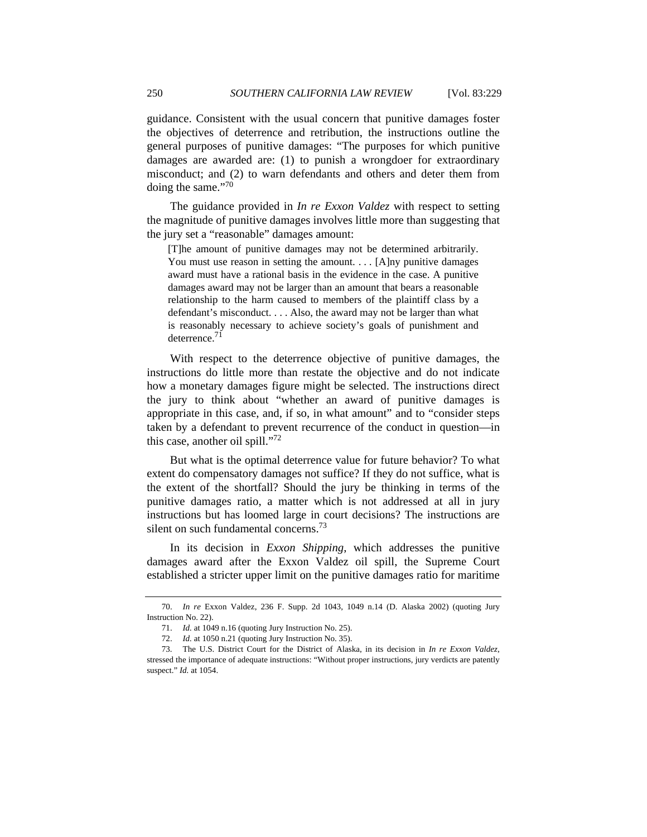guidance. Consistent with the usual concern that punitive damages foster the objectives of deterrence and retribution, the instructions outline the general purposes of punitive damages: "The purposes for which punitive damages are awarded are: (1) to punish a wrongdoer for extraordinary misconduct; and (2) to warn defendants and others and deter them from doing the same."<sup>70</sup>

The guidance provided in *In re Exxon Valdez* with respect to setting the magnitude of punitive damages involves little more than suggesting that the jury set a "reasonable" damages amount:

[T]he amount of punitive damages may not be determined arbitrarily. You must use reason in setting the amount. . . . [A]ny punitive damages award must have a rational basis in the evidence in the case. A punitive damages award may not be larger than an amount that bears a reasonable relationship to the harm caused to members of the plaintiff class by a defendant's misconduct. . . . Also, the award may not be larger than what is reasonably necessary to achieve society's goals of punishment and deterrence. $71$ 

With respect to the deterrence objective of punitive damages, the instructions do little more than restate the objective and do not indicate how a monetary damages figure might be selected. The instructions direct the jury to think about "whether an award of punitive damages is appropriate in this case, and, if so, in what amount" and to "consider steps taken by a defendant to prevent recurrence of the conduct in question—in this case, another oil spill."72

But what is the optimal deterrence value for future behavior? To what extent do compensatory damages not suffice? If they do not suffice, what is the extent of the shortfall? Should the jury be thinking in terms of the punitive damages ratio, a matter which is not addressed at all in jury instructions but has loomed large in court decisions? The instructions are silent on such fundamental concerns.<sup>73</sup>

In its decision in *Exxon Shipping*, which addresses the punitive damages award after the Exxon Valdez oil spill, the Supreme Court established a stricter upper limit on the punitive damages ratio for maritime

 <sup>70.</sup> *In re* Exxon Valdez, 236 F. Supp. 2d 1043, 1049 n.14 (D. Alaska 2002) (quoting Jury Instruction No. 22).

 <sup>71.</sup> *Id.* at 1049 n.16 (quoting Jury Instruction No. 25).

 <sup>72.</sup> *Id.* at 1050 n.21 (quoting Jury Instruction No. 35).

 <sup>73.</sup> The U.S. District Court for the District of Alaska, in its decision in *In re Exxon Valdez*, stressed the importance of adequate instructions: "Without proper instructions, jury verdicts are patently suspect." *Id.* at 1054.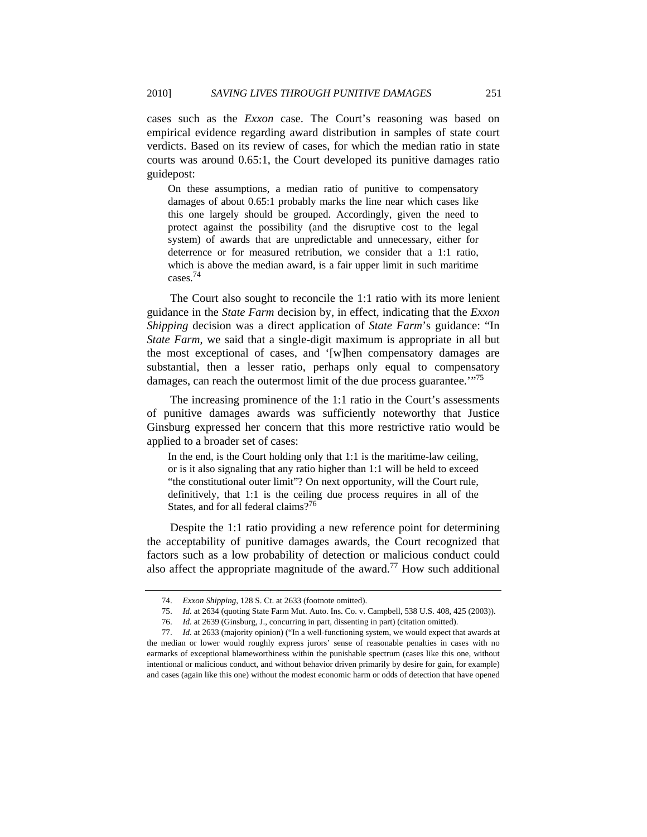cases such as the *Exxon* case. The Court's reasoning was based on empirical evidence regarding award distribution in samples of state court verdicts. Based on its review of cases, for which the median ratio in state courts was around 0.65:1, the Court developed its punitive damages ratio guidepost:

On these assumptions, a median ratio of punitive to compensatory damages of about 0.65:1 probably marks the line near which cases like this one largely should be grouped. Accordingly, given the need to protect against the possibility (and the disruptive cost to the legal system) of awards that are unpredictable and unnecessary, either for deterrence or for measured retribution, we consider that a 1:1 ratio, which is above the median award, is a fair upper limit in such maritime cases.74

The Court also sought to reconcile the 1:1 ratio with its more lenient guidance in the *State Farm* decision by, in effect, indicating that the *Exxon Shipping* decision was a direct application of *State Farm*'s guidance: "In *State Farm*, we said that a single-digit maximum is appropriate in all but the most exceptional of cases, and '[w]hen compensatory damages are substantial, then a lesser ratio, perhaps only equal to compensatory damages, can reach the outermost limit of the due process guarantee.<sup>'"75</sup>

The increasing prominence of the 1:1 ratio in the Court's assessments of punitive damages awards was sufficiently noteworthy that Justice Ginsburg expressed her concern that this more restrictive ratio would be applied to a broader set of cases:

In the end, is the Court holding only that 1:1 is the maritime-law ceiling, or is it also signaling that any ratio higher than 1:1 will be held to exceed "the constitutional outer limit"? On next opportunity, will the Court rule, definitively, that 1:1 is the ceiling due process requires in all of the States, and for all federal claims?<sup>76</sup>

Despite the 1:1 ratio providing a new reference point for determining the acceptability of punitive damages awards, the Court recognized that factors such as a low probability of detection or malicious conduct could also affect the appropriate magnitude of the award.<sup>77</sup> How such additional

 <sup>74.</sup> *Exxon Shipping*, 128 S. Ct. at 2633 (footnote omitted).

 <sup>75.</sup> *Id.* at 2634 (quoting State Farm Mut. Auto. Ins. Co. v. Campbell, 538 U.S. 408, 425 (2003)).

 <sup>76.</sup> *Id.* at 2639 (Ginsburg, J., concurring in part, dissenting in part) (citation omitted).

 <sup>77.</sup> *Id.* at 2633 (majority opinion) ("In a well-functioning system, we would expect that awards at the median or lower would roughly express jurors' sense of reasonable penalties in cases with no earmarks of exceptional blameworthiness within the punishable spectrum (cases like this one, without intentional or malicious conduct, and without behavior driven primarily by desire for gain, for example) and cases (again like this one) without the modest economic harm or odds of detection that have opened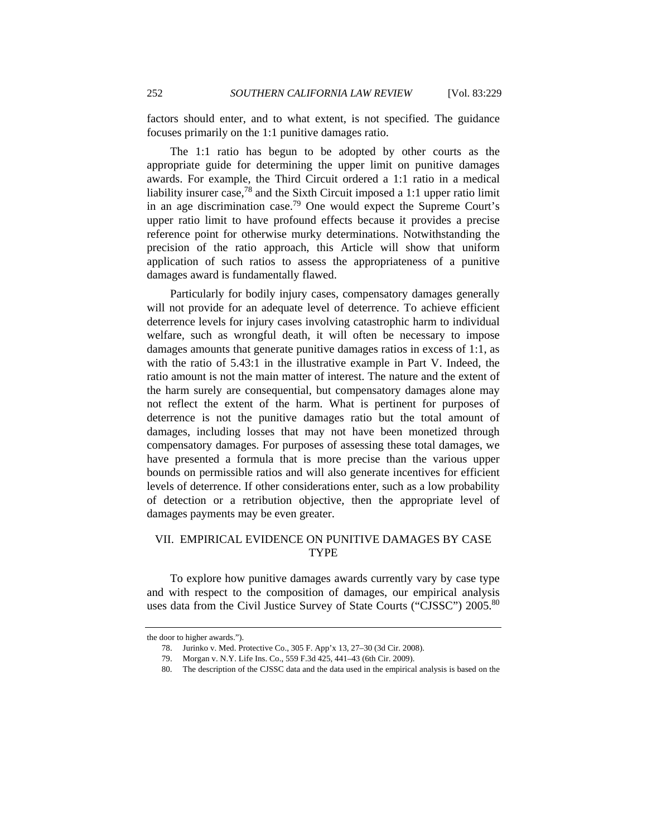factors should enter, and to what extent, is not specified. The guidance focuses primarily on the 1:1 punitive damages ratio.

The 1:1 ratio has begun to be adopted by other courts as the appropriate guide for determining the upper limit on punitive damages awards. For example, the Third Circuit ordered a 1:1 ratio in a medical liability insurer case,  $78$  and the Sixth Circuit imposed a 1:1 upper ratio limit in an age discrimination case.79 One would expect the Supreme Court's upper ratio limit to have profound effects because it provides a precise reference point for otherwise murky determinations. Notwithstanding the precision of the ratio approach, this Article will show that uniform application of such ratios to assess the appropriateness of a punitive damages award is fundamentally flawed.

Particularly for bodily injury cases, compensatory damages generally will not provide for an adequate level of deterrence. To achieve efficient deterrence levels for injury cases involving catastrophic harm to individual welfare, such as wrongful death, it will often be necessary to impose damages amounts that generate punitive damages ratios in excess of 1:1, as with the ratio of 5.43:1 in the illustrative example in Part V. Indeed, the ratio amount is not the main matter of interest. The nature and the extent of the harm surely are consequential, but compensatory damages alone may not reflect the extent of the harm. What is pertinent for purposes of deterrence is not the punitive damages ratio but the total amount of damages, including losses that may not have been monetized through compensatory damages. For purposes of assessing these total damages, we have presented a formula that is more precise than the various upper bounds on permissible ratios and will also generate incentives for efficient levels of deterrence. If other considerations enter, such as a low probability of detection or a retribution objective, then the appropriate level of damages payments may be even greater.

## VII. EMPIRICAL EVIDENCE ON PUNITIVE DAMAGES BY CASE TYPE

To explore how punitive damages awards currently vary by case type and with respect to the composition of damages, our empirical analysis uses data from the Civil Justice Survey of State Courts ("CJSSC") 2005.<sup>80</sup>

the door to higher awards.").

<sup>78.</sup> Jurinko v. Med. Protective Co., 305 F. App'x 13, 27–30 (3d Cir. 2008).

<sup>79.</sup> Morgan v. N.Y. Life Ins. Co., 559 F.3d 425, 441–43 (6th Cir. 2009).

 <sup>80.</sup> The description of the CJSSC data and the data used in the empirical analysis is based on the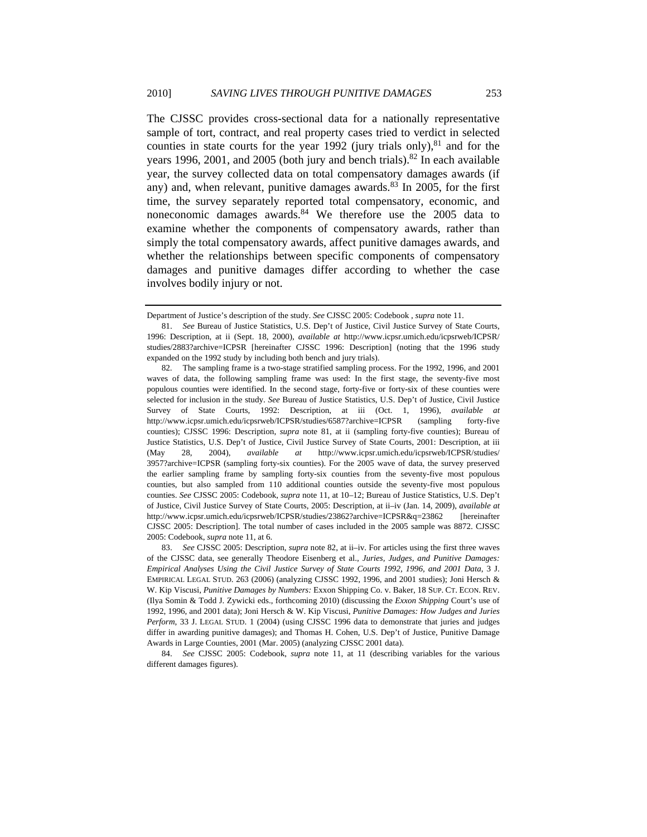The CJSSC provides cross-sectional data for a nationally representative sample of tort, contract, and real property cases tried to verdict in selected counties in state courts for the year 1992 (jury trials only), $81$  and for the years 1996, 2001, and 2005 (both jury and bench trials).<sup>82</sup> In each available year, the survey collected data on total compensatory damages awards (if any) and, when relevant, punitive damages awards.<sup>83</sup> In 2005, for the first time, the survey separately reported total compensatory, economic, and noneconomic damages awards.<sup>84</sup> We therefore use the 2005 data to examine whether the components of compensatory awards, rather than simply the total compensatory awards, affect punitive damages awards, and whether the relationships between specific components of compensatory damages and punitive damages differ according to whether the case involves bodily injury or not.

Department of Justice's description of the study. *See* CJSSC 2005: Codebook , *supra* note 11.

 <sup>81.</sup> *See* Bureau of Justice Statistics, U.S. Dep't of Justice, Civil Justice Survey of State Courts, 1996: Description, at ii (Sept. 18, 2000), *available at* http://www.icpsr.umich.edu/icpsrweb/ICPSR/ studies/2883?archive=ICPSR [hereinafter CJSSC 1996: Description] (noting that the 1996 study expanded on the 1992 study by including both bench and jury trials).

 <sup>82.</sup> The sampling frame is a two-stage stratified sampling process. For the 1992, 1996, and 2001 waves of data, the following sampling frame was used: In the first stage, the seventy-five most populous counties were identified. In the second stage, forty-five or forty-six of these counties were selected for inclusion in the study. *See* Bureau of Justice Statistics, U.S. Dep't of Justice, Civil Justice Survey of State Courts, 1992: Description, at iii (Oct. 1, 1996), *available at* http://www.icpsr.umich.edu/icpsrweb/ICPSR/studies/6587?archive=ICPSR (sampling forty-five counties); CJSSC 1996: Description, *supra* note 81, at ii (sampling forty-five counties); Bureau of Justice Statistics, U.S. Dep't of Justice, Civil Justice Survey of State Courts, 2001: Description, at iii (May 28, 2004), *available at* http://www.icpsr.umich.edu/icpsrweb/ICPSR/studies/ 3957?archive=ICPSR (sampling forty-six counties). For the 2005 wave of data, the survey preserved the earlier sampling frame by sampling forty-six counties from the seventy-five most populous counties, but also sampled from 110 additional counties outside the seventy-five most populous counties. *See* CJSSC 2005: Codebook, *supra* note 11, at 10–12; Bureau of Justice Statistics, U.S. Dep't of Justice, Civil Justice Survey of State Courts, 2005: Description, at ii–iv (Jan. 14, 2009), *available at* http://www.icpsr.umich.edu/icpsrweb/ICPSR/studies/23862?archive=ICPSR&q=23862 [hereinafter CJSSC 2005: Description]. The total number of cases included in the 2005 sample was 8872. CJSSC 2005: Codebook, *supra* note 11, at 6.

 <sup>83.</sup> *See* CJSSC 2005: Description, *supra* note 82, at ii–iv. For articles using the first three waves of the CJSSC data, see generally Theodore Eisenberg et al., *Juries, Judges, and Punitive Damages: Empirical Analyses Using the Civil Justice Survey of State Courts 1992, 1996, and 2001 Data*, 3 J. EMPIRICAL LEGAL STUD. 263 (2006) (analyzing CJSSC 1992, 1996, and 2001 studies); Joni Hersch & W. Kip Viscusi, *Punitive Damages by Numbers:* Exxon Shipping Co. v. Baker, 18 SUP. CT. ECON. REV. (Ilya Somin & Todd J. Zywicki eds., forthcoming 2010) (discussing the *Exxon Shipping* Court's use of 1992, 1996, and 2001 data); Joni Hersch & W. Kip Viscusi, *Punitive Damages: How Judges and Juries Perform*, 33 J. LEGAL STUD. 1 (2004) (using CJSSC 1996 data to demonstrate that juries and judges differ in awarding punitive damages); and Thomas H. Cohen, U.S. Dep't of Justice, Punitive Damage Awards in Large Counties, 2001 (Mar. 2005) (analyzing CJSSC 2001 data).

 <sup>84.</sup> *See* CJSSC 2005: Codebook, *supra* note 11, at 11 (describing variables for the various different damages figures).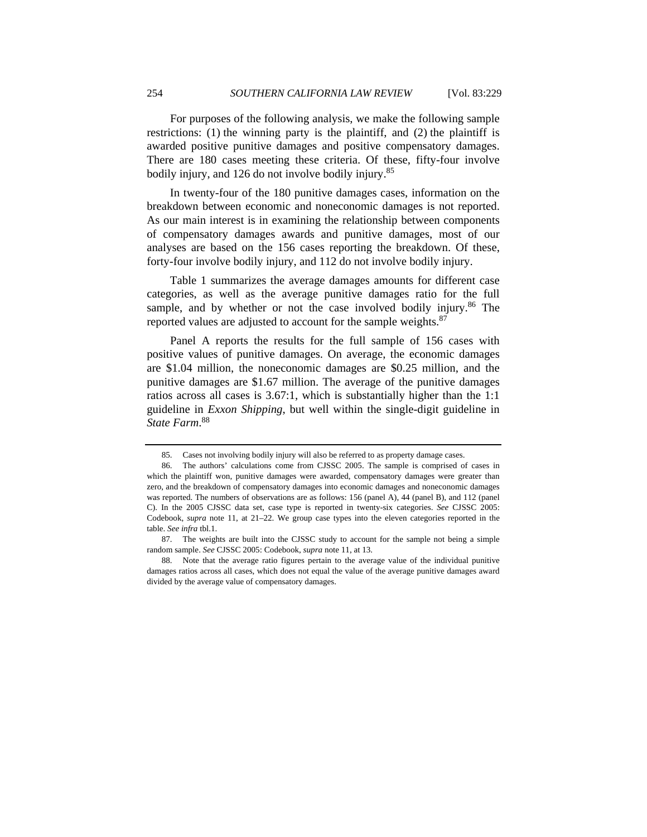For purposes of the following analysis, we make the following sample restrictions: (1) the winning party is the plaintiff, and (2) the plaintiff is awarded positive punitive damages and positive compensatory damages. There are 180 cases meeting these criteria. Of these, fifty-four involve bodily injury, and 126 do not involve bodily injury.85

In twenty-four of the 180 punitive damages cases, information on the breakdown between economic and noneconomic damages is not reported. As our main interest is in examining the relationship between components of compensatory damages awards and punitive damages, most of our analyses are based on the 156 cases reporting the breakdown. Of these, forty-four involve bodily injury, and 112 do not involve bodily injury.

Table 1 summarizes the average damages amounts for different case categories, as well as the average punitive damages ratio for the full sample, and by whether or not the case involved bodily injury.<sup>86</sup> The reported values are adjusted to account for the sample weights.<sup>87</sup>

Panel A reports the results for the full sample of 156 cases with positive values of punitive damages. On average, the economic damages are \$1.04 million, the noneconomic damages are \$0.25 million, and the punitive damages are \$1.67 million. The average of the punitive damages ratios across all cases is 3.67:1, which is substantially higher than the 1:1 guideline in *Exxon Shipping*, but well within the single-digit guideline in *State Farm*. 88

 <sup>85.</sup> Cases not involving bodily injury will also be referred to as property damage cases.

 <sup>86.</sup> The authors' calculations come from CJSSC 2005. The sample is comprised of cases in which the plaintiff won, punitive damages were awarded, compensatory damages were greater than zero, and the breakdown of compensatory damages into economic damages and noneconomic damages was reported. The numbers of observations are as follows: 156 (panel A), 44 (panel B), and 112 (panel C). In the 2005 CJSSC data set, case type is reported in twenty-six categories. *See* CJSSC 2005: Codebook, *supra* note 11, at 21–22. We group case types into the eleven categories reported in the table. *See infra* tbl.1.

 <sup>87.</sup> The weights are built into the CJSSC study to account for the sample not being a simple random sample. *See* CJSSC 2005: Codebook, *supra* note 11, at 13.

 <sup>88.</sup> Note that the average ratio figures pertain to the average value of the individual punitive damages ratios across all cases, which does not equal the value of the average punitive damages award divided by the average value of compensatory damages.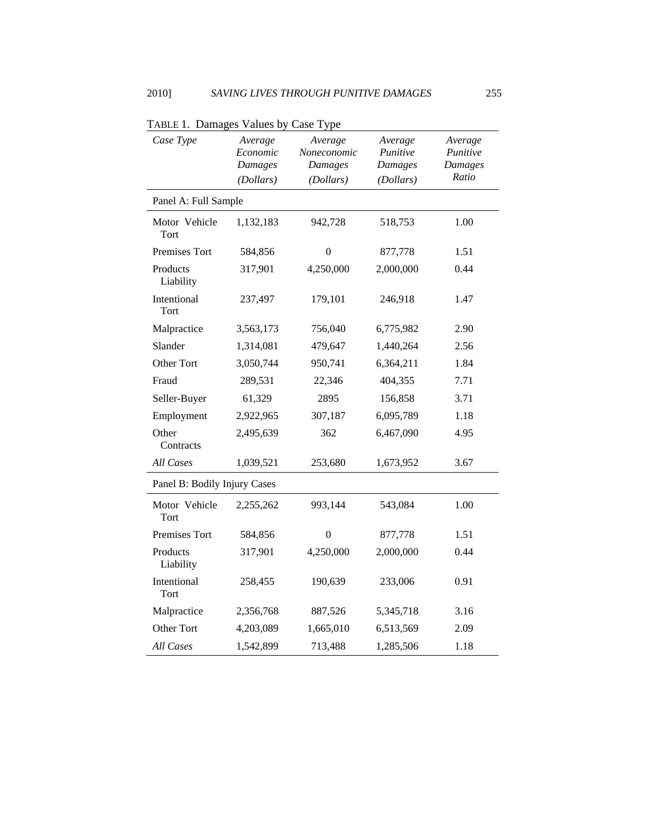| Case Type                    | Average<br>Economic<br>Damages<br>(Dollars) | Average<br>Noneconomic<br>Damages<br>(Dollars) | Average<br>Punitive<br>Damages<br>(Dollars) | Average<br>Punitive<br>Damages<br>Ratio |
|------------------------------|---------------------------------------------|------------------------------------------------|---------------------------------------------|-----------------------------------------|
| Panel A: Full Sample         |                                             |                                                |                                             |                                         |
| Motor Vehicle<br>Tort        | 1,132,183                                   | 942,728                                        | 518,753                                     | 1.00                                    |
| Premises Tort                | 584,856                                     | $\boldsymbol{0}$                               | 877,778                                     | 1.51                                    |
| Products<br>Liability        | 317,901                                     | 4,250,000                                      | 2,000,000                                   | 0.44                                    |
| Intentional<br>Tort          | 237,497                                     | 179,101                                        | 246,918                                     | 1.47                                    |
| Malpractice                  | 3,563,173                                   | 756,040                                        | 6,775,982                                   | 2.90                                    |
| Slander                      | 1,314,081                                   | 479,647                                        | 1,440,264                                   | 2.56                                    |
| Other Tort                   | 3,050,744                                   | 950,741                                        | 6,364,211                                   | 1.84                                    |
| Fraud                        | 289,531                                     | 22,346                                         | 404,355                                     | 7.71                                    |
| Seller-Buyer                 | 61,329                                      | 2895                                           | 156,858                                     | 3.71                                    |
| Employment                   | 2,922,965                                   | 307,187                                        | 6,095,789                                   | 1.18                                    |
| Other<br>Contracts           | 2,495,639                                   | 362                                            | 6,467,090                                   | 4.95                                    |
| All Cases                    | 1,039,521                                   | 253,680                                        | 1,673,952                                   | 3.67                                    |
| Panel B: Bodily Injury Cases |                                             |                                                |                                             |                                         |
| Motor Vehicle<br>Tort        | 2,255,262                                   | 993,144                                        | 543,084                                     | 1.00                                    |
| Premises Tort                | 584,856                                     | $\boldsymbol{0}$                               | 877,778                                     | 1.51                                    |
| Products<br>Liability        | 317,901                                     | 4,250,000                                      | 2,000,000                                   | 0.44                                    |
| Intentional<br>Tort          | 258,455                                     | 190,639                                        | 233,006                                     | 0.91                                    |
| Malpractice                  | 2,356,768                                   | 887,526                                        | 5,345,718                                   | 3.16                                    |
| Other Tort                   | 4,203,089                                   | 1,665,010                                      | 6,513,569                                   | 2.09                                    |
| <b>All Cases</b>             | 1,542,899                                   | 713,488                                        | 1,285,506                                   | 1.18                                    |

TABLE 1. Damages Values by Case Type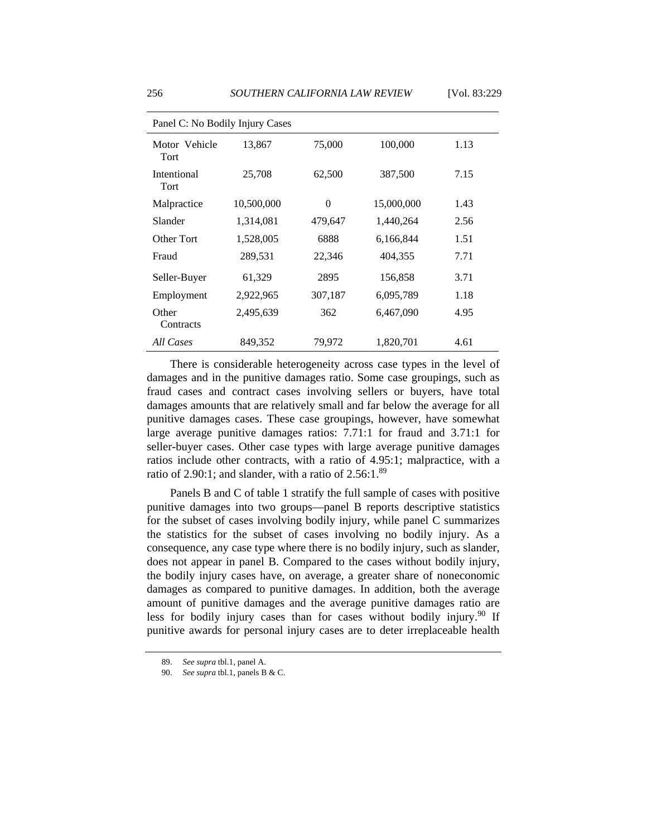| Panel C: No Bodily Injury Cases |            |          |            |      |  |  |
|---------------------------------|------------|----------|------------|------|--|--|
| Motor Vehicle<br>Tort           | 13,867     | 75,000   | 100,000    | 1.13 |  |  |
| Intentional<br><b>Tort</b>      | 25,708     | 62,500   | 387,500    | 7.15 |  |  |
| Malpractice                     | 10,500,000 | $\Omega$ | 15,000,000 | 1.43 |  |  |
| Slander                         | 1,314,081  | 479,647  | 1,440,264  | 2.56 |  |  |
| Other Tort                      | 1,528,005  | 6888     | 6,166,844  | 1.51 |  |  |
| Fraud                           | 289,531    | 22,346   | 404,355    | 7.71 |  |  |
| Seller-Buyer                    | 61,329     | 2895     | 156,858    | 3.71 |  |  |
| Employment                      | 2,922,965  | 307,187  | 6,095,789  | 1.18 |  |  |
| Other<br>Contracts              | 2,495,639  | 362      | 6,467,090  | 4.95 |  |  |
| All Cases                       | 849,352    | 79,972   | 1,820,701  | 4.61 |  |  |

There is considerable heterogeneity across case types in the level of damages and in the punitive damages ratio. Some case groupings, such as fraud cases and contract cases involving sellers or buyers, have total damages amounts that are relatively small and far below the average for all punitive damages cases. These case groupings, however, have somewhat large average punitive damages ratios: 7.71:1 for fraud and 3.71:1 for seller-buyer cases. Other case types with large average punitive damages ratios include other contracts, with a ratio of 4.95:1; malpractice, with a ratio of 2.90:1; and slander, with a ratio of  $2.56:1.^{89}$ 

Panels B and C of table 1 stratify the full sample of cases with positive punitive damages into two groups—panel B reports descriptive statistics for the subset of cases involving bodily injury, while panel C summarizes the statistics for the subset of cases involving no bodily injury. As a consequence, any case type where there is no bodily injury, such as slander, does not appear in panel B. Compared to the cases without bodily injury, the bodily injury cases have, on average, a greater share of noneconomic damages as compared to punitive damages. In addition, both the average amount of punitive damages and the average punitive damages ratio are less for bodily injury cases than for cases without bodily injury.<sup>90</sup> If punitive awards for personal injury cases are to deter irreplaceable health

 <sup>89.</sup> *See supra* tbl.1, panel A.

 <sup>90.</sup> *See supra* tbl.1, panels B & C.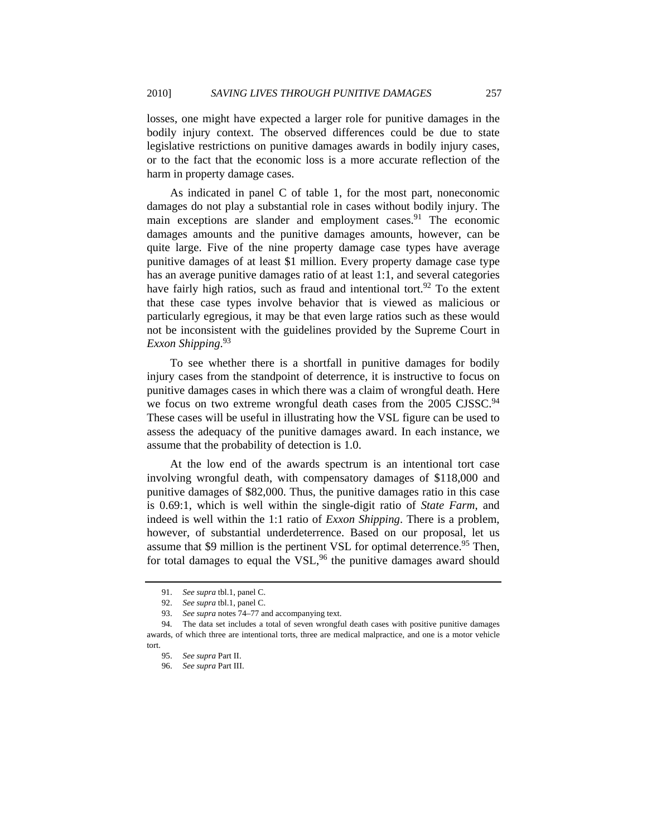losses, one might have expected a larger role for punitive damages in the bodily injury context. The observed differences could be due to state legislative restrictions on punitive damages awards in bodily injury cases, or to the fact that the economic loss is a more accurate reflection of the harm in property damage cases.

As indicated in panel C of table 1, for the most part, noneconomic damages do not play a substantial role in cases without bodily injury. The main exceptions are slander and employment cases.<sup>91</sup> The economic damages amounts and the punitive damages amounts, however, can be quite large. Five of the nine property damage case types have average punitive damages of at least \$1 million. Every property damage case type has an average punitive damages ratio of at least 1:1, and several categories have fairly high ratios, such as fraud and intentional tort.<sup>92</sup> To the extent that these case types involve behavior that is viewed as malicious or particularly egregious, it may be that even large ratios such as these would not be inconsistent with the guidelines provided by the Supreme Court in *Exxon Shipping*. 93

To see whether there is a shortfall in punitive damages for bodily injury cases from the standpoint of deterrence, it is instructive to focus on punitive damages cases in which there was a claim of wrongful death. Here we focus on two extreme wrongful death cases from the 2005 CJSSC.<sup>94</sup> These cases will be useful in illustrating how the VSL figure can be used to assess the adequacy of the punitive damages award. In each instance, we assume that the probability of detection is 1.0.

At the low end of the awards spectrum is an intentional tort case involving wrongful death, with compensatory damages of \$118,000 and punitive damages of \$82,000. Thus, the punitive damages ratio in this case is 0.69:1, which is well within the single-digit ratio of *State Farm*, and indeed is well within the 1:1 ratio of *Exxon Shipping*. There is a problem, however, of substantial underdeterrence. Based on our proposal, let us assume that \$9 million is the pertinent VSL for optimal deterrence.<sup>95</sup> Then, for total damages to equal the VSL, $96$  the punitive damages award should

 <sup>91.</sup> *See supra* tbl.1, panel C.

 <sup>92.</sup> *See supra* tbl.1, panel C.

 <sup>93.</sup> *See supra* notes 74–77 and accompanying text.

 <sup>94.</sup> The data set includes a total of seven wrongful death cases with positive punitive damages awards, of which three are intentional torts, three are medical malpractice, and one is a motor vehicle tort.

 <sup>95.</sup> *See supra* Part II.

 <sup>96.</sup> *See supra* Part III.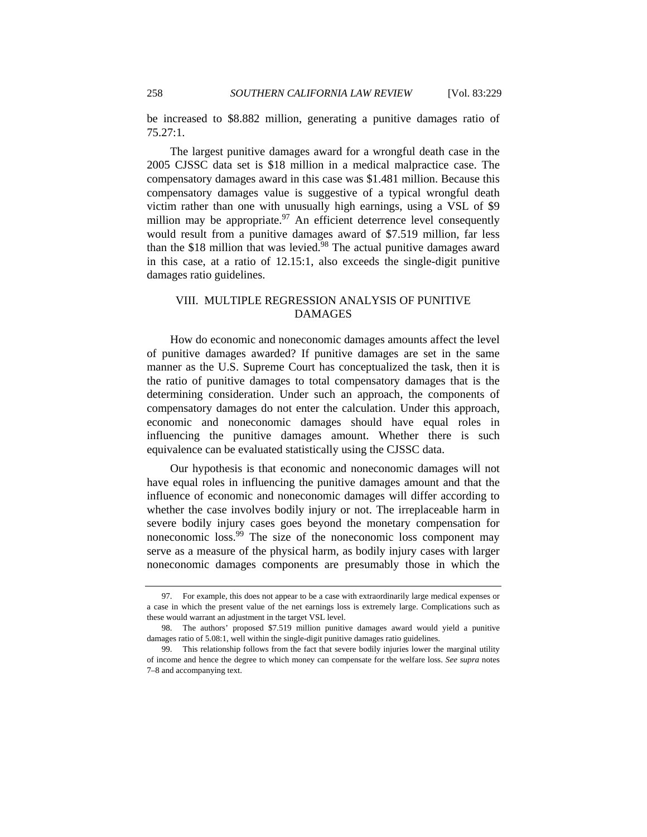be increased to \$8.882 million, generating a punitive damages ratio of 75.27:1.

The largest punitive damages award for a wrongful death case in the 2005 CJSSC data set is \$18 million in a medical malpractice case. The compensatory damages award in this case was \$1.481 million. Because this compensatory damages value is suggestive of a typical wrongful death victim rather than one with unusually high earnings, using a VSL of \$9 million may be appropriate. $97$  An efficient deterrence level consequently would result from a punitive damages award of \$7.519 million, far less than the \$18 million that was levied.98 The actual punitive damages award in this case, at a ratio of 12.15:1, also exceeds the single-digit punitive damages ratio guidelines.

## VIII. MULTIPLE REGRESSION ANALYSIS OF PUNITIVE DAMAGES

How do economic and noneconomic damages amounts affect the level of punitive damages awarded? If punitive damages are set in the same manner as the U.S. Supreme Court has conceptualized the task, then it is the ratio of punitive damages to total compensatory damages that is the determining consideration. Under such an approach, the components of compensatory damages do not enter the calculation. Under this approach, economic and noneconomic damages should have equal roles in influencing the punitive damages amount. Whether there is such equivalence can be evaluated statistically using the CJSSC data.

Our hypothesis is that economic and noneconomic damages will not have equal roles in influencing the punitive damages amount and that the influence of economic and noneconomic damages will differ according to whether the case involves bodily injury or not. The irreplaceable harm in severe bodily injury cases goes beyond the monetary compensation for noneconomic loss.99 The size of the noneconomic loss component may serve as a measure of the physical harm, as bodily injury cases with larger noneconomic damages components are presumably those in which the

 <sup>97.</sup> For example, this does not appear to be a case with extraordinarily large medical expenses or a case in which the present value of the net earnings loss is extremely large. Complications such as these would warrant an adjustment in the target VSL level.

 <sup>98.</sup> The authors' proposed \$7.519 million punitive damages award would yield a punitive damages ratio of 5.08:1, well within the single-digit punitive damages ratio guidelines.

 <sup>99.</sup> This relationship follows from the fact that severe bodily injuries lower the marginal utility of income and hence the degree to which money can compensate for the welfare loss. *See supra* notes 7–8 and accompanying text.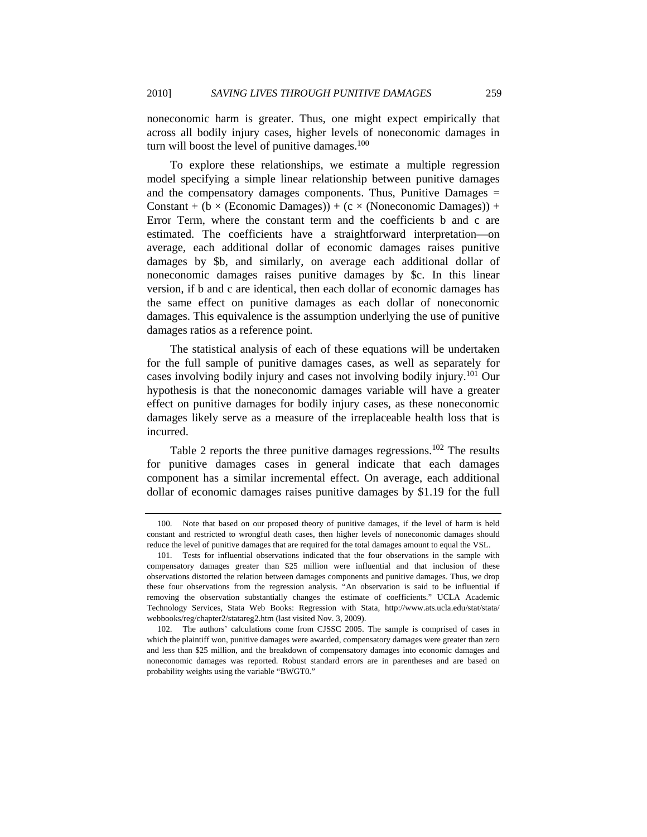noneconomic harm is greater. Thus, one might expect empirically that across all bodily injury cases, higher levels of noneconomic damages in turn will boost the level of punitive damages. $100$ 

To explore these relationships, we estimate a multiple regression model specifying a simple linear relationship between punitive damages and the compensatory damages components. Thus, Punitive Damages  $=$ Constant + (b  $\times$  (Economic Damages)) + (c  $\times$  (Noneconomic Damages)) + Error Term, where the constant term and the coefficients b and c are estimated. The coefficients have a straightforward interpretation—on average, each additional dollar of economic damages raises punitive damages by \$b, and similarly, on average each additional dollar of noneconomic damages raises punitive damages by \$c. In this linear version, if b and c are identical, then each dollar of economic damages has the same effect on punitive damages as each dollar of noneconomic damages. This equivalence is the assumption underlying the use of punitive damages ratios as a reference point.

The statistical analysis of each of these equations will be undertaken for the full sample of punitive damages cases, as well as separately for cases involving bodily injury and cases not involving bodily injury.<sup>101</sup> Our hypothesis is that the noneconomic damages variable will have a greater effect on punitive damages for bodily injury cases, as these noneconomic damages likely serve as a measure of the irreplaceable health loss that is incurred.

Table 2 reports the three punitive damages regressions.<sup>102</sup> The results for punitive damages cases in general indicate that each damages component has a similar incremental effect. On average, each additional dollar of economic damages raises punitive damages by \$1.19 for the full

 <sup>100.</sup> Note that based on our proposed theory of punitive damages, if the level of harm is held constant and restricted to wrongful death cases, then higher levels of noneconomic damages should reduce the level of punitive damages that are required for the total damages amount to equal the VSL.

 <sup>101.</sup> Tests for influential observations indicated that the four observations in the sample with compensatory damages greater than \$25 million were influential and that inclusion of these observations distorted the relation between damages components and punitive damages. Thus, we drop these four observations from the regression analysis. "An observation is said to be influential if removing the observation substantially changes the estimate of coefficients." UCLA Academic Technology Services, Stata Web Books: Regression with Stata, http://www.ats.ucla.edu/stat/stata/ webbooks/reg/chapter2/statareg2.htm (last visited Nov. 3, 2009).

 <sup>102.</sup> The authors' calculations come from CJSSC 2005. The sample is comprised of cases in which the plaintiff won, punitive damages were awarded, compensatory damages were greater than zero and less than \$25 million, and the breakdown of compensatory damages into economic damages and noneconomic damages was reported. Robust standard errors are in parentheses and are based on probability weights using the variable "BWGT0."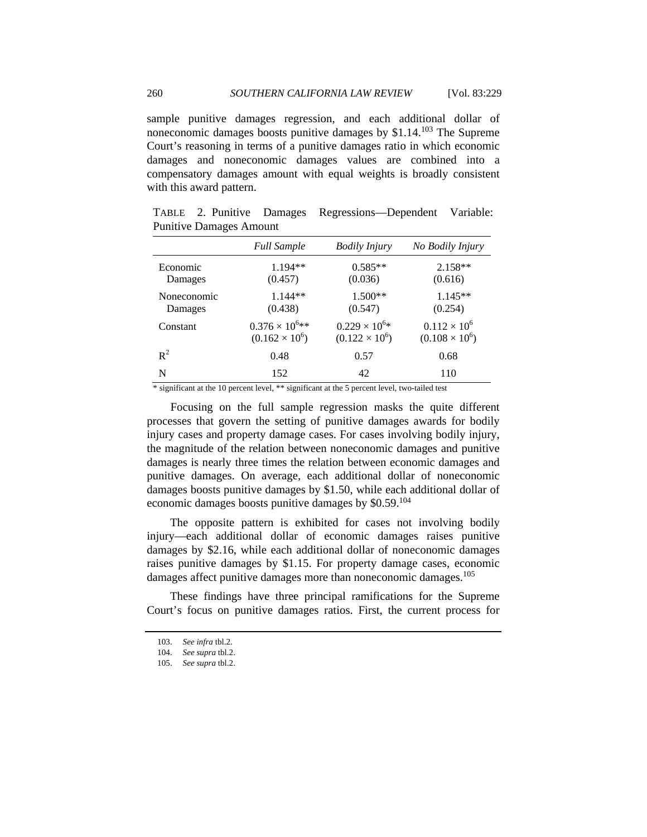sample punitive damages regression, and each additional dollar of noneconomic damages boosts punitive damages by  $$1.14<sup>103</sup>$  The Supreme Court's reasoning in terms of a punitive damages ratio in which economic damages and noneconomic damages values are combined into a compensatory damages amount with equal weights is broadly consistent with this award pattern.

TABLE 2. Punitive Damages Regressions—Dependent Variable: Punitive Damages Amount

|             | <b>Full Sample</b>      | <b>Bodily Injury</b>   | No Bodily Injury      |
|-------------|-------------------------|------------------------|-----------------------|
| Economic    | $1.194**$               | $0.585**$              | $2.158**$             |
| Damages     | (0.457)                 | (0.036)                | (0.616)               |
| Noneconomic | $1.144**$               | 1.500**                | $1.145**$             |
| Damages     | (0.438)                 | (0.547)                | (0.254)               |
| Constant    | $0.376 \times 10^{6**}$ | $0.229 \times 10^{6*}$ | $0.112 \times 10^{6}$ |
|             | $(0.162 \times 10^6)$   | $(0.122 \times 10^6)$  | $(0.108 \times 10^6)$ |
| $R^2$       | 0.48                    | 0.57                   | 0.68                  |
| N           | 152                     | 42                     | 110                   |

\* significant at the 10 percent level, \*\* significant at the 5 percent level, two-tailed test

Focusing on the full sample regression masks the quite different processes that govern the setting of punitive damages awards for bodily injury cases and property damage cases. For cases involving bodily injury, the magnitude of the relation between noneconomic damages and punitive damages is nearly three times the relation between economic damages and punitive damages. On average, each additional dollar of noneconomic damages boosts punitive damages by \$1.50, while each additional dollar of economic damages boosts punitive damages by \$0.59.<sup>104</sup>

The opposite pattern is exhibited for cases not involving bodily injury—each additional dollar of economic damages raises punitive damages by \$2.16, while each additional dollar of noneconomic damages raises punitive damages by \$1.15. For property damage cases, economic damages affect punitive damages more than noneconomic damages.<sup>105</sup>

These findings have three principal ramifications for the Supreme Court's focus on punitive damages ratios. First, the current process for

 <sup>103.</sup> *See infra* tbl.2.

 <sup>104.</sup> *See supra* tbl.2.

 <sup>105.</sup> *See supra* tbl.2.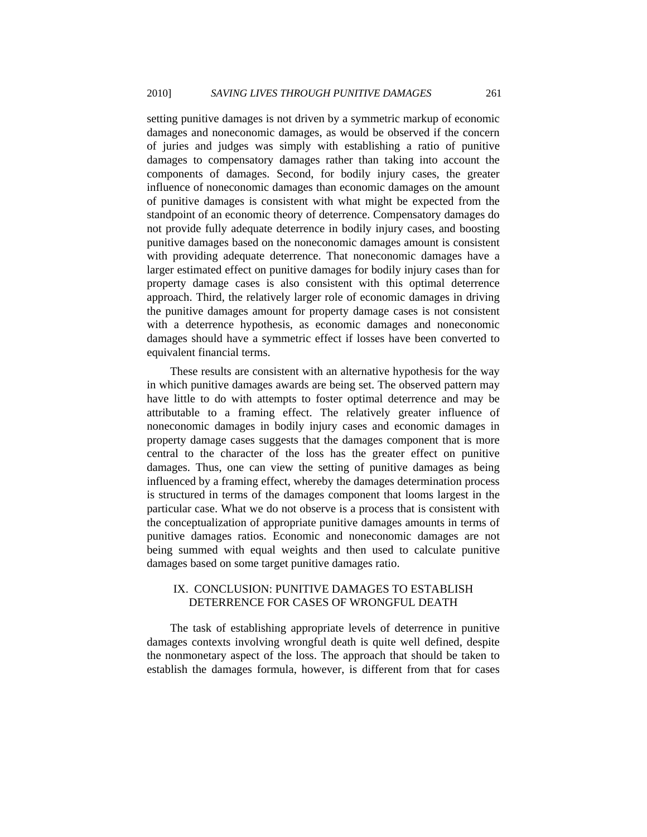setting punitive damages is not driven by a symmetric markup of economic damages and noneconomic damages, as would be observed if the concern of juries and judges was simply with establishing a ratio of punitive damages to compensatory damages rather than taking into account the components of damages. Second, for bodily injury cases, the greater influence of noneconomic damages than economic damages on the amount of punitive damages is consistent with what might be expected from the standpoint of an economic theory of deterrence. Compensatory damages do not provide fully adequate deterrence in bodily injury cases, and boosting punitive damages based on the noneconomic damages amount is consistent with providing adequate deterrence. That noneconomic damages have a larger estimated effect on punitive damages for bodily injury cases than for property damage cases is also consistent with this optimal deterrence approach. Third, the relatively larger role of economic damages in driving the punitive damages amount for property damage cases is not consistent with a deterrence hypothesis, as economic damages and noneconomic damages should have a symmetric effect if losses have been converted to equivalent financial terms.

These results are consistent with an alternative hypothesis for the way in which punitive damages awards are being set. The observed pattern may have little to do with attempts to foster optimal deterrence and may be attributable to a framing effect. The relatively greater influence of noneconomic damages in bodily injury cases and economic damages in property damage cases suggests that the damages component that is more central to the character of the loss has the greater effect on punitive damages. Thus, one can view the setting of punitive damages as being influenced by a framing effect, whereby the damages determination process is structured in terms of the damages component that looms largest in the particular case. What we do not observe is a process that is consistent with the conceptualization of appropriate punitive damages amounts in terms of punitive damages ratios. Economic and noneconomic damages are not being summed with equal weights and then used to calculate punitive damages based on some target punitive damages ratio.

## IX. CONCLUSION: PUNITIVE DAMAGES TO ESTABLISH DETERRENCE FOR CASES OF WRONGFUL DEATH

The task of establishing appropriate levels of deterrence in punitive damages contexts involving wrongful death is quite well defined, despite the nonmonetary aspect of the loss. The approach that should be taken to establish the damages formula, however, is different from that for cases